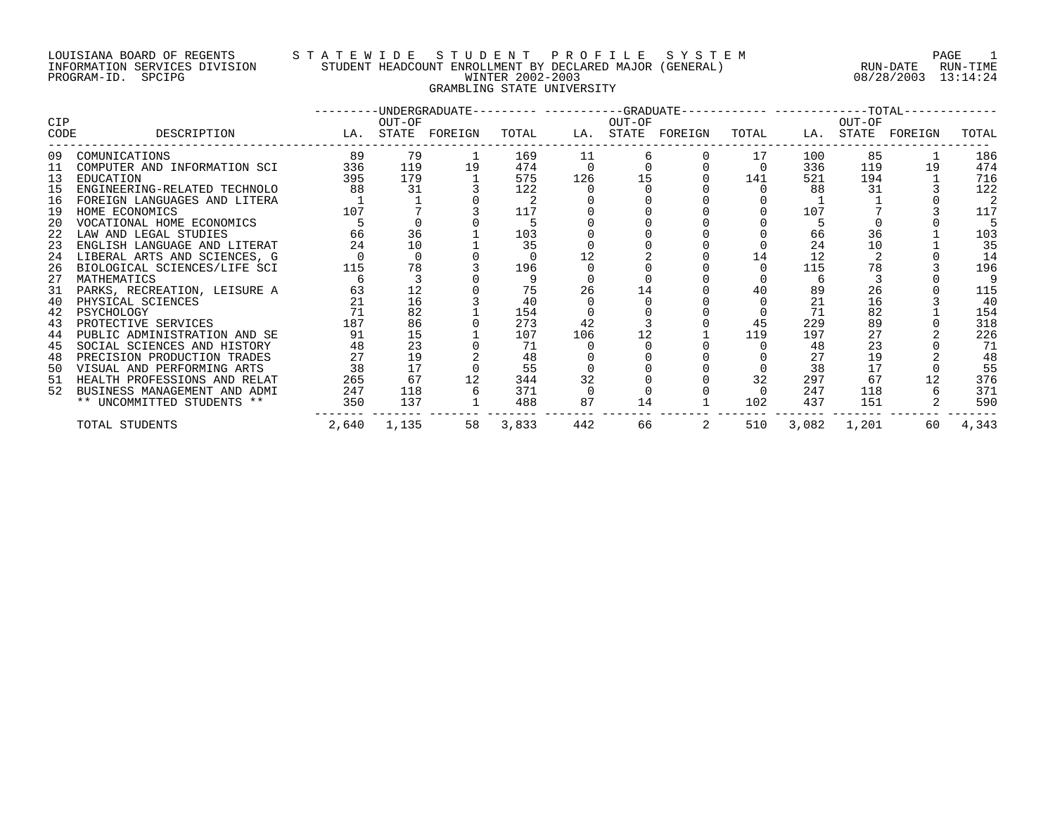#### LOUISIANA BOARD OF REGENTS S T A T E W I D E S T U D E N T P R O F I L E S Y S T E M PAGE 1 INFORMATION SERVICES DIVISION STUDENT HEADCOUNT ENROLLMENT BY DECLARED MAJOR (GENERAL) RUN-DATE RUN-TIME PROGRAM-ID. SPCIPG WINTER 2002-2003 08/28/2003 13:14:24 GRAMBLING STATE UNIVERSITY

|      |                              |       |        |               |       |     |        | ---------DINDERGRADUATE--------- ----------GRADUATE----------- ------------TOTAL-- |          |       |        |               |       |
|------|------------------------------|-------|--------|---------------|-------|-----|--------|------------------------------------------------------------------------------------|----------|-------|--------|---------------|-------|
| CIP  |                              |       | OUT-OF |               |       |     | OUT-OF |                                                                                    |          |       | OUT-OF |               |       |
| CODE | DESCRIPTION                  | LA.   |        | STATE FOREIGN | TOTAL | LA. |        | STATE FOREIGN                                                                      | TOTAL    | LA.   |        | STATE FOREIGN | TOTAL |
| 09   | COMUNICATIONS                | 89    | 79     |               | 169   | 11  |        |                                                                                    | 17       | 100   | 85     |               | 186   |
|      | COMPUTER AND INFORMATION SCI | 336   | 119    | 19            | 474   |     |        |                                                                                    | $\Omega$ | 336   | 119    | 19            | 474   |
| 13   | EDUCATION                    | 395   | 179    |               | 575   | 126 |        |                                                                                    | 141      | 521   | 194    |               | 716   |
| 15   | ENGINEERING-RELATED TECHNOLO | 88    | 31     |               | 122   |     |        |                                                                                    |          | 88    | 31     |               | 122   |
| 16   | FOREIGN LANGUAGES AND LITERA |       |        |               |       |     |        |                                                                                    |          |       |        |               |       |
| 19   | HOME ECONOMICS               | 107   |        |               | 117   |     |        |                                                                                    |          | 107   |        |               | 117   |
| 20   | VOCATIONAL HOME ECONOMICS    |       |        |               |       |     |        |                                                                                    |          |       |        |               |       |
| 22   | LAW AND LEGAL STUDIES        | 66    | 36     |               | 103   |     |        |                                                                                    |          | 66    | 36     |               | 103   |
| 23   | ENGLISH LANGUAGE AND LITERAT | 24    | 10     |               | 35    |     |        |                                                                                    |          | 24    | 10     |               | 35    |
| 24   | LIBERAL ARTS AND SCIENCES, G |       |        |               |       | 12  |        |                                                                                    | 14       | 12    |        |               | 14    |
| 26   | BIOLOGICAL SCIENCES/LIFE SCI | 115   | 78     |               | 196   |     |        |                                                                                    |          | 115   | 78     |               | 196   |
| 27   | MATHEMATICS                  |       |        |               |       |     |        |                                                                                    |          | 6     |        |               |       |
| 31   | PARKS, RECREATION, LEISURE A | 63    |        |               | 75    | 26  | 14     |                                                                                    | 40       | 89    | 26     |               | 115   |
| 40   | PHYSICAL SCIENCES            | 21    | 16     |               | 40    |     |        |                                                                                    |          | 21    | 16     |               | 40    |
| 42   | PSYCHOLOGY                   |       | 82     |               | 154   |     |        |                                                                                    |          | 71    | 82     |               | 154   |
| 43   | PROTECTIVE SERVICES          | 187   | 86     |               | 273   | 42  |        |                                                                                    | 45       | 229   | 89     |               | 318   |
| 44   | PUBLIC ADMINISTRATION AND SE | 91    | 15     |               | 107   | 106 |        |                                                                                    | 119      | 197   | 27     |               | 226   |
| 45   | SOCIAL SCIENCES AND HISTORY  | 48    | 23     |               | 71    |     |        |                                                                                    |          | 48    | 23     |               | 71    |
| 48   | PRECISION PRODUCTION TRADES  | 27    | 19     |               | 48    |     |        |                                                                                    |          | 27    | 19     |               | 48    |
| 50   | VISUAL AND PERFORMING ARTS   | 38    |        |               | 55    |     |        |                                                                                    |          | 38    | 17     |               | 55    |
| 51   | HEALTH PROFESSIONS AND RELAT | 265   | 67     |               | 344   | 32  |        |                                                                                    | 32       | 297   | 67     | 12            | 376   |
| 52   | BUSINESS MANAGEMENT AND ADMI | 247   | 118    |               | 371   |     |        |                                                                                    |          | 247   | 118    |               | 371   |
|      | ** UNCOMMITTED STUDENTS **   | 350   | 137    |               | 488   | 87  | 14     |                                                                                    | 102      | 437   | 151    |               | 590   |
|      | TOTAL STUDENTS               | 2,640 | 1,135  | 58            | 3,833 | 442 | 66     |                                                                                    | 510      | 3,082 | 1,201  | 60            | 4,343 |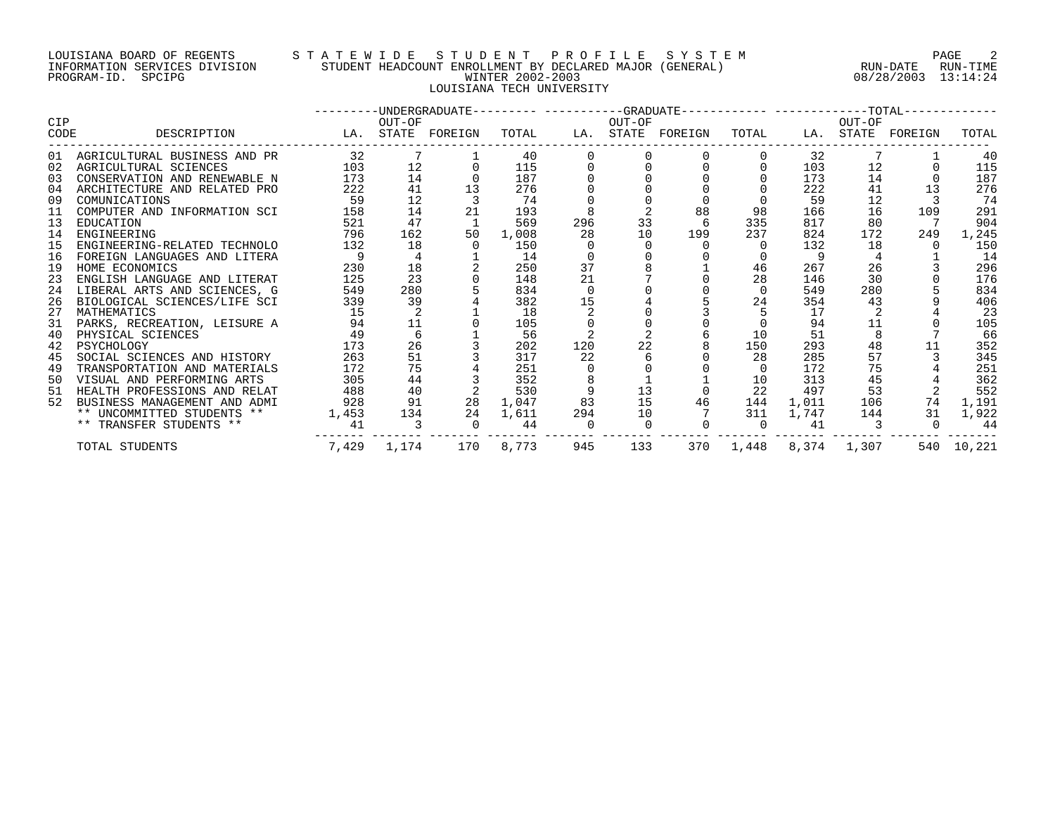#### LOUISIANA BOARD OF REGENTS S T A T E W I D E S T U D E N T P R O F I L E S Y S T E M PAGE 2 INFORMATION SERVICES DIVISION STUDENT HEADCOUNT ENROLLMENT BY DECLARED MAJOR (GENERAL) RUN-DATE RUN-TIME PROGRAM-ID. SPCIPG WINTER 2002-2003 08/28/2003 13:14:24 LOUISIANA TECH UNIVERSITY

|      |                                 |       |                 |                   |       |          |        | ---------UNDERGRADUATE--------- ----------GRADUATE------------ ------------TOTAL------------ |                       |       |        |                   |            |
|------|---------------------------------|-------|-----------------|-------------------|-------|----------|--------|----------------------------------------------------------------------------------------------|-----------------------|-------|--------|-------------------|------------|
| CIP  |                                 |       | OUT-OF          |                   |       |          | OUT-OF |                                                                                              |                       |       | OUT-OF |                   |            |
| CODE | DESCRIPTION                     |       |                 | LA. STATE FOREIGN | TOTAL |          |        | LA. STATE FOREIGN                                                                            | TOTAL                 |       |        | LA. STATE FOREIGN | TOTAL      |
|      | 01 AGRICULTURAL BUSINESS AND PR | 32    |                 |                   | 40    |          |        |                                                                                              |                       | 32    |        |                   | 40         |
| 02   | AGRICULTURAL SCIENCES           | 103   | 12 <sup>°</sup> |                   | 115   |          |        |                                                                                              |                       | 103   | 12     |                   | 115        |
| 03   | CONSERVATION AND RENEWABLE N    | 173   | 14              |                   | 187   |          |        |                                                                                              |                       | 173   | 14     |                   | 187        |
| 04   | ARCHITECTURE AND RELATED PRO    | 222   | 41              |                   | 276   |          |        |                                                                                              |                       | 222   | 41     | 13                | 276        |
| 09   | COMUNICATIONS                   | 59    | 12              |                   | 74    |          |        |                                                                                              |                       | 59    | 12     |                   | 74         |
| 11   | COMPUTER AND INFORMATION SCI    | 158   | 14              | 21                | 193   |          |        | 88                                                                                           | 98                    | 166   | 16     | 109               | 291        |
| 13   | EDUCATION                       | 521   | 47              |                   | 569   | 296      | 33     |                                                                                              | 335                   | 817   | 80     |                   | 904        |
| 14   | ENGINEERING                     | 796   | 162             | 50                | 1,008 | 28       | 10     | 199                                                                                          | 237                   | 824   | 172    | 249               | 1,245      |
| 15   | ENGINEERING-RELATED TECHNOLO    | 132   | 18              |                   | 150   |          |        |                                                                                              |                       | 132   | 18     |                   | 150        |
| 16   | FOREIGN LANGUAGES AND LITERA    |       |                 |                   | 14    |          |        |                                                                                              |                       | 9     |        |                   | 14         |
| 19   | HOME ECONOMICS                  | 230   | 18              |                   | 250   | 37       |        |                                                                                              | 46                    | 267   | 26     |                   | 296        |
| 23   | ENGLISH LANGUAGE AND LITERAT    | 125   | 23              |                   | 148   | 21       |        |                                                                                              | 28                    | 146   | 30     |                   | 176        |
| 24   | LIBERAL ARTS AND SCIENCES, G    | 549   | 280             |                   | 834   | $\Omega$ |        |                                                                                              | $\Omega$              | 549   | 280    |                   | 834        |
| 26   | BIOLOGICAL SCIENCES/LIFE SCI    | 339   | 39              |                   | 382   | 15       |        |                                                                                              | 24                    | 354   | 43     |                   | 406        |
| 27   | MATHEMATICS                     | 15    |                 |                   | 18    |          |        |                                                                                              |                       | 17    |        |                   | 23         |
| 31   | PARKS, RECREATION, LEISURE A    | 94    | 11              |                   | 105   |          |        |                                                                                              |                       | 94    | 11     |                   | 105        |
| 40   | PHYSICAL SCIENCES               | 49    |                 |                   | 56    |          |        |                                                                                              | 10                    | 51    |        |                   | 66         |
| 42   | PSYCHOLOGY                      | 173   | 26              |                   | 202   | 120      | 22     |                                                                                              | 150                   | 293   | 48     | 11                | 352        |
| 45   | SOCIAL SCIENCES AND HISTORY     | 263   | 51              |                   | 317   | 22       |        |                                                                                              | 28                    | 285   | 57     |                   | 345        |
| 49   | TRANSPORTATION AND MATERIALS    | 172   | 75              |                   | 251   |          |        |                                                                                              |                       | 172   | 75     |                   | 251        |
| 50   | VISUAL AND PERFORMING ARTS      | 305   | 44              |                   | 352   |          |        |                                                                                              | 10                    | 313   | 45     |                   | 362        |
|      | 51 HEALTH PROFESSIONS AND RELAT | 488   | 40              |                   | 530   |          | 13     |                                                                                              | 22                    | 497   | 53     |                   | 552        |
| 52   | BUSINESS MANAGEMENT AND ADMI    | 928   | 91              | 28                | 1,047 | 83       | 15     | 46                                                                                           | 144                   | 1,011 | 106    | 74                | 1,191      |
|      | ** UNCOMMITTED STUDENTS **      | 1,453 | 134             | 24                | 1,611 | 294      | 10     |                                                                                              | 311                   | 1,747 | 144    | 31                | 1,922      |
|      | ** TRANSFER STUDENTS **         | 41    |                 |                   | 44    |          |        |                                                                                              | $\Omega$              | 41    |        | $\Omega$          | 44         |
|      | TOTAL STUDENTS                  |       | 7,429 1,174     | 170               | 8,773 | 945      | 133    |                                                                                              | 370 1,448 8,374 1,307 |       |        |                   | 540 10,221 |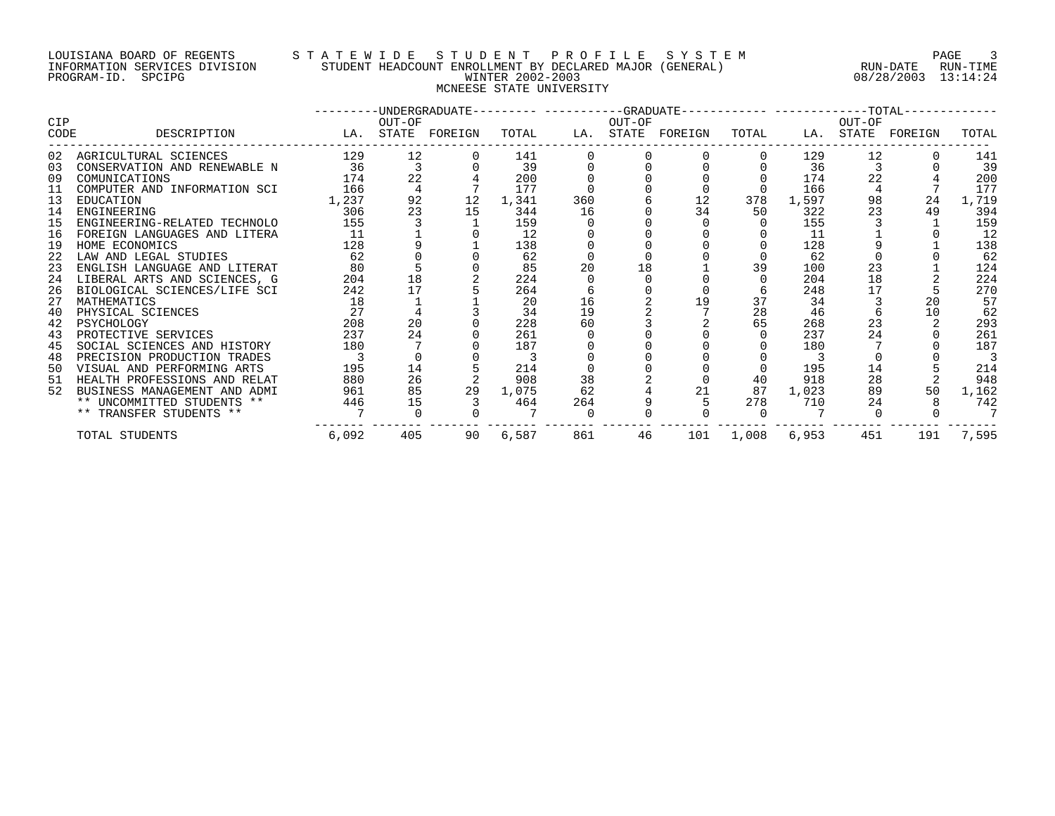#### LOUISIANA BOARD OF REGENTS S T A T E W I D E S T U D E N T P R O F I L E S Y S T E M PAGE 3 INFORMATION SERVICES DIVISION STUDENT HEADCOUNT ENROLLMENT BY DECLARED MAJOR (GENERAL) RUN-DATE RUN-TIME PROGRAM-ID. SPCIPG WINTER 2002-2003 08/28/2003 13:14:24 MCNEESE STATE UNIVERSITY

|             |                              |                   |          |    |       |     |        | ---------UNDERGRADUATE--------- ---------GRADUATE----------- -----------TOTAL----------- |           |       |        |                   |       |
|-------------|------------------------------|-------------------|----------|----|-------|-----|--------|------------------------------------------------------------------------------------------|-----------|-------|--------|-------------------|-------|
| CIP<br>CODE | DESCRIPTION                  | LA. STATE FOREIGN | OUT-OF   |    | TOTAL |     | OUT-OF | LA. STATE FOREIGN                                                                        | TOTAL     |       | OUT-OF | LA. STATE FOREIGN | TOTAL |
|             |                              |                   |          |    |       |     |        |                                                                                          |           |       |        |                   |       |
|             | 02 AGRICULTURAL SCIENCES     | 129               | 12       |    | 141   |     |        |                                                                                          |           | 129   | 12     |                   | 141   |
| 03          | CONSERVATION AND RENEWABLE N | 36                |          |    | 39    |     |        |                                                                                          |           | 36    |        |                   | 39    |
| 09          | COMUNICATIONS                | 174               | 22       |    | 200   |     |        |                                                                                          |           | 174   | 22     |                   | 200   |
| 11          | COMPUTER AND INFORMATION SCI | 166               |          |    | 177   |     |        |                                                                                          |           | 166   |        |                   | 177   |
| 13          | EDUCATION                    | 1,237             | 92       | 12 | 1,341 | 360 |        | 12                                                                                       | 378       | 1,597 | 98     | 24                | 1,719 |
| 14          | ENGINEERING                  | 306               | 23       | 15 | 344   | 16  |        | 34                                                                                       | 50        | 322   | 23     | 49                | 394   |
| 15          | ENGINEERING-RELATED TECHNOLO | 155               |          |    | 159   |     |        |                                                                                          |           | 155   |        |                   | 159   |
| 16          | FOREIGN LANGUAGES AND LITERA | 11                |          |    | 12    |     |        |                                                                                          |           | 11    |        |                   | 12    |
| 19          | HOME ECONOMICS               | 128               |          |    | 138   |     |        |                                                                                          |           | 128   |        |                   | 138   |
| 22          | LAW AND LEGAL STUDIES        | 62                |          |    | 62    |     |        |                                                                                          |           | 62    |        |                   | 62    |
| 23          | ENGLISH LANGUAGE AND LITERAT | 80                |          |    | 85    | 20  | 18     |                                                                                          | 39        | 100   | 23     |                   | 124   |
| 24          | LIBERAL ARTS AND SCIENCES, G | 204               | 18       |    | 224   |     |        |                                                                                          |           | 204   | 18     |                   | 224   |
| 26          | BIOLOGICAL SCIENCES/LIFE SCI | 242               | 17       |    | 264   |     |        |                                                                                          |           | 248   | 17     |                   | 270   |
| 27          | MATHEMATICS                  | 18                |          |    | 20    | 16  |        | 19                                                                                       | 37        | 34    |        | 20                | 57    |
| 40          | PHYSICAL SCIENCES            | 27                |          |    | 34    | 19  |        |                                                                                          | 28        | 46    |        | 10                | 62    |
| 42          | PSYCHOLOGY                   | 208               | 20       |    | 228   | 60  |        |                                                                                          | 65        | 268   | 23     |                   | 293   |
| 43          | PROTECTIVE SERVICES          | 237               | 24       |    | 261   |     |        |                                                                                          |           | 237   | 24     |                   | 261   |
| 45          | SOCIAL SCIENCES AND HISTORY  | 180               |          |    | 187   |     |        |                                                                                          |           | 180   |        |                   | 187   |
| 48          | PRECISION PRODUCTION TRADES  |                   |          |    |       |     |        |                                                                                          |           |       |        |                   |       |
| 50          | VISUAL AND PERFORMING ARTS   | 195               | 14       |    | 214   |     |        |                                                                                          |           | 195   | 14     |                   | 214   |
| 51          | HEALTH PROFESSIONS AND RELAT | 880               | 26       |    | 908   | 38  |        |                                                                                          | 40        | 918   | 28     |                   | 948   |
| 52          | BUSINESS MANAGEMENT AND ADMI | 961               | 85       | 29 | 1,075 | 62  |        | 21                                                                                       | 87        | 1,023 | 89     | 50                | 1,162 |
|             | ** UNCOMMITTED STUDENTS **   | 446               | 15       |    | 464   | 264 |        |                                                                                          | 278       | 710   | 24     |                   | 742   |
|             | ** TRANSFER STUDENTS **      |                   | $\Omega$ |    |       |     |        |                                                                                          | $\Omega$  |       |        |                   |       |
|             | TOTAL STUDENTS               | 6,092             | 405      | 90 | 6,587 | 861 | 46     |                                                                                          | 101 1,008 | 6,953 | 451    | 191               | 7,595 |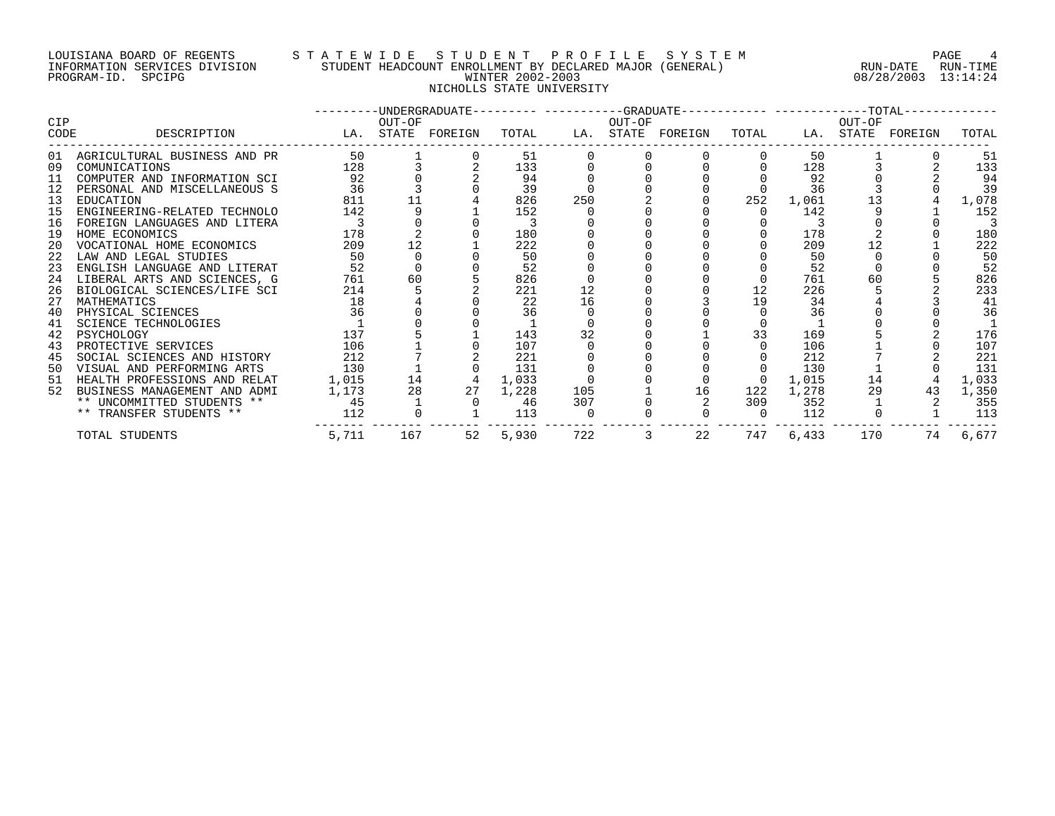# LOUISIANA BOARD OF REGENTS STATEWIDE STUDENT PROFILE SYSTEM NAGE 4 INFORMATION SERVICES DIVISION STUDENT HEADCOUNT ENROLLMENT BY DECLARED MAJOR (GENERAL) RUN-DATE RUN-TIME RUN-TIME<br>PROGRAM-ID. SPCIPG 89/28/2003 13:14:24 NICHOLLS STATE UNIVERSITY

08/28/2003 13:14:24

|                    |                                 |       |        | --------DNDERGRADUATE--------- ----------GRADUATE----------- -----------TOTAL-- |       |     |        |                   |          |       |        |                   |       |
|--------------------|---------------------------------|-------|--------|---------------------------------------------------------------------------------|-------|-----|--------|-------------------|----------|-------|--------|-------------------|-------|
| <b>CIP</b><br>CODE | DESCRIPTION                     |       | OUT-OF | LA. STATE FOREIGN                                                               | TOTAL |     | OUT-OF | LA. STATE FOREIGN | TOTAL    |       | OUT-OF | LA. STATE FOREIGN | TOTAL |
|                    | 01 AGRICULTURAL BUSINESS AND PR | 50    |        |                                                                                 | 51    |     |        |                   |          | 50    |        |                   | 51    |
| 09                 | COMUNICATIONS                   | 128   |        |                                                                                 | 133   |     |        |                   |          | 128   |        |                   | 133   |
| 11                 | COMPUTER AND INFORMATION SCI    | 92    |        |                                                                                 | 94    |     |        |                   |          | 92    |        |                   | 94    |
|                    | PERSONAL AND MISCELLANEOUS S    | 36    |        |                                                                                 | 39    |     |        |                   |          | 36    |        |                   | 39    |
| 13                 | EDUCATION                       | 811   |        |                                                                                 | 826   | 250 |        |                   | 252      | 1,061 |        |                   | 1,078 |
| 15                 | ENGINEERING-RELATED TECHNOLO    | 142   |        |                                                                                 | 152   |     |        |                   |          | 142   |        |                   | 152   |
| 16                 | FOREIGN LANGUAGES AND LITERA    |       |        |                                                                                 |       |     |        |                   |          |       |        |                   |       |
| 19                 | HOME ECONOMICS                  | 178   |        |                                                                                 | 180   |     |        |                   |          | 178   |        |                   | 180   |
| 20                 | VOCATIONAL HOME ECONOMICS       | 209   |        |                                                                                 | 222   |     |        |                   |          | 209   |        |                   | 222   |
| 22                 | LAW AND LEGAL STUDIES           | 50    |        |                                                                                 | 50    |     |        |                   |          | 50    |        |                   | 50    |
| 23                 | ENGLISH LANGUAGE AND LITERAT    | 52    |        |                                                                                 | 52    |     |        |                   |          | 52    |        |                   | 52    |
| 24                 | LIBERAL ARTS AND SCIENCES, G    | 761   | 60     |                                                                                 | 826   |     |        |                   |          | 761   | 60     |                   | 826   |
| 26                 | BIOLOGICAL SCIENCES/LIFE SCI    | 214   |        |                                                                                 | 221   | 12  |        |                   | 12       | 226   |        |                   | 233   |
| 27                 | MATHEMATICS                     | 18    |        |                                                                                 | 22    | 16  |        |                   | 19       | 34    |        |                   | 41    |
| 40                 | PHYSICAL SCIENCES               | 36    |        |                                                                                 | 36    |     |        |                   |          | 36    |        |                   | 36    |
| 41                 | <b>SCIENCE TECHNOLOGIES</b>     |       |        |                                                                                 |       |     |        |                   |          |       |        |                   |       |
| 42                 | PSYCHOLOGY                      | 137   |        |                                                                                 | 143   | 32  |        |                   | 33       | 169   |        |                   | 176   |
| 43                 | PROTECTIVE SERVICES             | 106   |        |                                                                                 | 107   |     |        |                   |          | 106   |        |                   | 107   |
| 45                 | SOCIAL SCIENCES AND HISTORY     | 212   |        |                                                                                 | 221   |     |        |                   |          | 212   |        |                   | 221   |
| 50                 | VISUAL AND PERFORMING ARTS      | 130   |        |                                                                                 | 131   |     |        |                   |          | 130   |        |                   | 131   |
| 51                 | HEALTH PROFESSIONS AND RELAT    | 1,015 | 14     |                                                                                 | 1,033 |     |        |                   | $\Omega$ | 1,015 | 14     |                   | 1,033 |
| 52                 | BUSINESS MANAGEMENT AND ADMI    | 1,173 | 28     | 27                                                                              | 1,228 | 105 |        | 16                | 122      | 1,278 | 29     | 43                | 1,350 |
|                    | ** UNCOMMITTED STUDENTS **      | 45    |        |                                                                                 | 46    | 307 |        |                   | 309      | 352   |        |                   | 355   |
|                    | ** TRANSFER STUDENTS **         | 112   |        |                                                                                 | 113   |     |        |                   |          | 112   |        |                   | 113   |
|                    | TOTAL STUDENTS                  | 5,711 | 167    | 52                                                                              | 5,930 | 722 | 3      | 22                | 747      | 6,433 | 170    | 74                | 6,677 |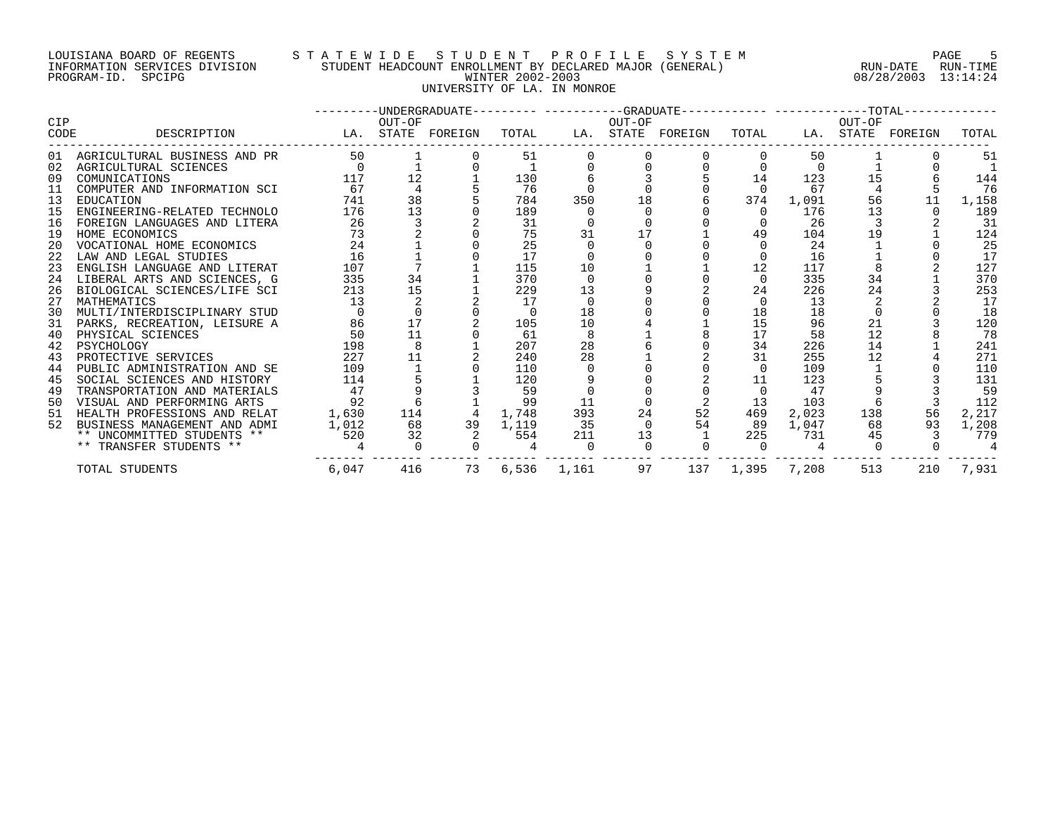#### LOUISIANA BOARD OF REGENTS S T A T E W I D E S T U D E N T P R O F I L E S Y S T E M PAGE 5 INFORMATION SERVICES DIVISION STUDENT HEADCOUNT ENROLLMENT BY DECLARED MAJOR (GENERAL) RUN-DATE RUN-TIME PROGRAM-ID. SPCIPG WINTER 2002-2003 08/28/2003 13:14:24 UNIVERSITY OF LA. IN MONROE

|      |                                 |          |                 | ---------UNDERGRADUATE--------- ---------GRADUATE----------- -----------TOTAL----------- |       |             |        |                   |                 |          |        |                   |       |
|------|---------------------------------|----------|-----------------|------------------------------------------------------------------------------------------|-------|-------------|--------|-------------------|-----------------|----------|--------|-------------------|-------|
| CIP  |                                 |          | OUT-OF          |                                                                                          |       |             | OUT-OF |                   |                 |          | OUT-OF |                   |       |
| CODE | DESCRIPTION                     |          |                 | LA. STATE FOREIGN                                                                        | TOTAL |             |        | LA. STATE FOREIGN | TOTAL           |          |        | LA. STATE FOREIGN | TOTAL |
|      | 01 AGRICULTURAL BUSINESS AND PR | 50       |                 |                                                                                          | 51    |             |        |                   |                 | 50       |        |                   | 51    |
|      | 02 AGRICULTURAL SCIENCES        | $\Omega$ |                 |                                                                                          |       |             |        |                   |                 | $\Omega$ |        |                   |       |
| 09   | COMUNICATIONS                   | 117      | 12 <sup>°</sup> |                                                                                          | 130   |             |        |                   | 14              | 123      | 15     |                   | 144   |
| 11   | COMPUTER AND INFORMATION SCI    | 67       | 4               |                                                                                          | 76    |             |        |                   | $\Omega$        | 67       | 4      |                   | 76    |
| 13   | EDUCATION                       | 741      | 38              |                                                                                          | 784   | 350         | 18     |                   | 374             | 1,091    | 56     | 11                | 1,158 |
| 15   | ENGINEERING-RELATED TECHNOLO    | 176      | 13              |                                                                                          | 189   |             |        |                   | $\Omega$        | 176      | 13     |                   | 189   |
|      | 16 FOREIGN LANGUAGES AND LITERA | 26       |                 |                                                                                          | 31    |             |        |                   |                 | 26       |        |                   | 31    |
| 19   | HOME ECONOMICS                  | 73       |                 |                                                                                          | 75    | 31          | 17     |                   | 49              | 104      | 19     |                   | 124   |
| 20   | VOCATIONAL HOME ECONOMICS       | 24       |                 |                                                                                          | 25    |             |        |                   |                 | 24       |        |                   | 25    |
|      | 22 LAW AND LEGAL STUDIES        | 16       |                 |                                                                                          | 17    |             |        |                   |                 | 16       |        |                   | 17    |
| 23   | ENGLISH LANGUAGE AND LITERAT    | 107      |                 |                                                                                          | 115   | 10          |        |                   | 12              | 117      |        |                   | 127   |
| 24   | LIBERAL ARTS AND SCIENCES, G    | 335      | 34              |                                                                                          | 370   | $\Omega$    |        |                   | $\Omega$        | 335      | 34     |                   | 370   |
|      | 26 BIOLOGICAL SCIENCES/LIFE SCI | 213      | 15              |                                                                                          | 229   | 13          |        |                   | 24              | 226      | 24     |                   | 253   |
| 27   | MATHEMATICS                     | 13       |                 |                                                                                          | 17    |             |        |                   |                 | 13       |        |                   | 17    |
| 30   | MULTI/INTERDISCIPLINARY STUD    |          |                 |                                                                                          | 0     | 18          |        |                   | 18              | 18       |        |                   | 18    |
| 31   | PARKS, RECREATION, LEISURE A    | 86       | 17              |                                                                                          | 105   | 10          |        |                   | 15              | 96       | 21     |                   | 120   |
| 40   | PHYSICAL SCIENCES               | 50       | 11              |                                                                                          | 61    | 8           |        |                   | 17              | 58       | 12     |                   | 78    |
|      | 42 PSYCHOLOGY                   | 198      | 8               |                                                                                          | 207   | 28          |        |                   | 34              | 226      | 14     |                   | 241   |
|      | 43 PROTECTIVE SERVICES          | 227      | 11              |                                                                                          | 240   | 28          |        |                   | 31              | 255      | 12     |                   | 271   |
| 44   | PUBLIC ADMINISTRATION AND SE    | 109      |                 |                                                                                          | 110   |             |        |                   | $\Omega$        | 109      |        |                   | 110   |
| 45   | SOCIAL SCIENCES AND HISTORY     | 114      |                 |                                                                                          | 120   |             |        |                   | 11              | 123      |        |                   | 131   |
| 49   | TRANSPORTATION AND MATERIALS    | 47       |                 |                                                                                          | 59    |             |        |                   |                 | 47       |        |                   | 59    |
| 50   | VISUAL AND PERFORMING ARTS      | 92       | 6               |                                                                                          | 99    | 11          |        |                   | 13              | 103      | 6      |                   | 112   |
| 51   | HEALTH PROFESSIONS AND RELAT    | 1,630    | 114             |                                                                                          | 1,748 | 393         | 24     | 52                | 469             | 2,023    | 138    | 56                | 2,217 |
| 52   | BUSINESS MANAGEMENT AND ADMI    | 1,012    | 68              | 39                                                                                       | 1,119 | 35          |        | 54                | - 89            | 1,047    | 68     | 93                | 1,208 |
|      | ** UNCOMMITTED STUDENTS **      | 520      | 32              |                                                                                          | 554   | 211         | 13     |                   | 225             | 731      | 45     |                   | 779   |
|      | ** TRANSFER STUDENTS **         |          |                 |                                                                                          |       | $\cap$      |        |                   | $\Omega$        |          |        |                   |       |
|      | TOTAL STUDENTS                  | 6,047    | 416             | 73                                                                                       |       | 6,536 1,161 | 97     |                   | 137 1,395 7,208 |          | 513    | 210               | 7,931 |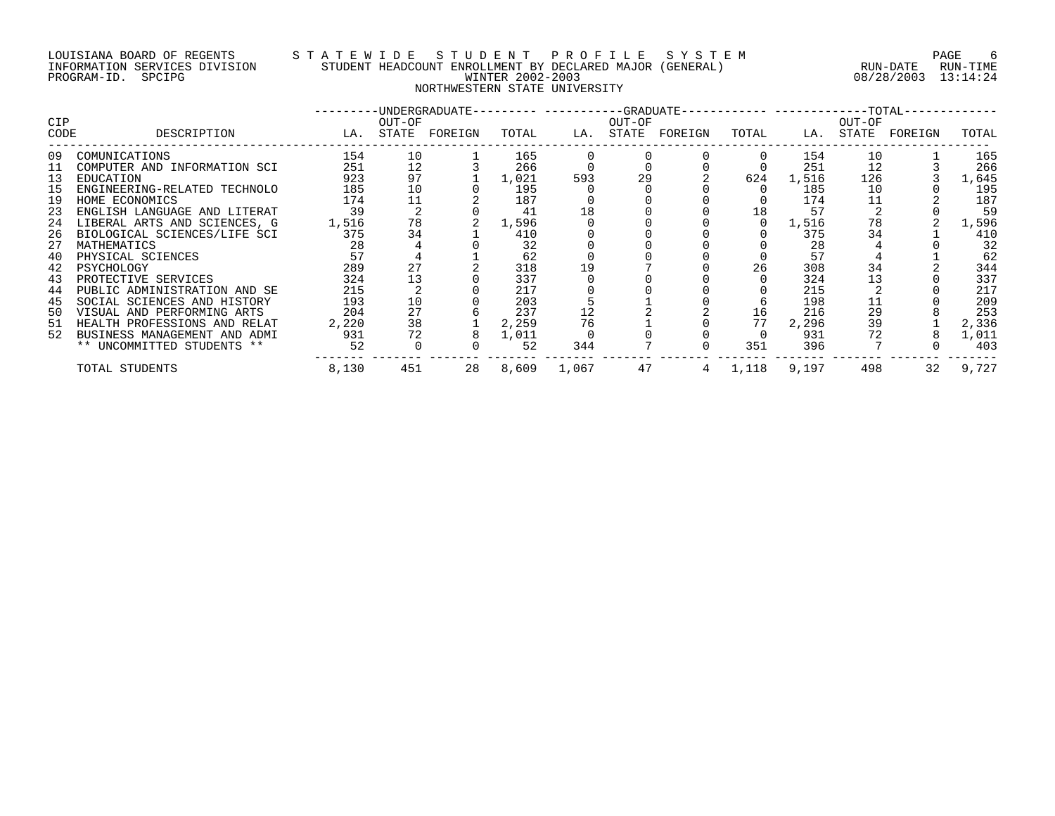#### LOUISIANA BOARD OF REGENTS S T A T E W I D E S T U D E N T P R O F I L E S Y S T E M PAGE 6 INFORMATION SERVICES DIVISION STUDENT HEADCOUNT ENROLLMENT BY DECLARED MAJOR (GENERAL) RUN-DATE RUN-TIME PROGRAM-ID. SPCIPG WINTER 2002-2003 08/28/2003 13:14:24 NORTHWESTERN STATE UNIVERSITY

|                    |                              |       |                 | -UNDERGRADUATE--------- ----------GRADUATE----------- -----------TOTAL- |       |       |                 |         |       |       |                 |         |       |
|--------------------|------------------------------|-------|-----------------|-------------------------------------------------------------------------|-------|-------|-----------------|---------|-------|-------|-----------------|---------|-------|
| <b>CIP</b><br>CODE | DESCRIPTION                  | LA.   | OUT-OF<br>STATE | FOREIGN                                                                 | TOTAL | LA.   | OUT-OF<br>STATE | FOREIGN | TOTAL | LA.   | OUT-OF<br>STATE | FOREIGN | TOTAL |
| 09                 | COMUNICATIONS                | 154   | 10              |                                                                         | 165   |       |                 |         |       | 154   | 10              |         | 165   |
| 11                 | COMPUTER AND INFORMATION SCI | 251   | 12              |                                                                         | 266   |       |                 |         |       | 251   | 12              |         | 266   |
| 13                 | EDUCATION                    | 923   | 97              |                                                                         | 1,021 | 593   | 29              |         | 624   | 1,516 | 126             |         | 1,645 |
| 15                 | ENGINEERING-RELATED TECHNOLO | 185   | 10              |                                                                         | 195   |       |                 |         |       | 185   | 10              |         | 195   |
| 19                 | HOME ECONOMICS               | 174   | 11              |                                                                         | 187   |       |                 |         |       | 174   | 11              |         | 187   |
| 23                 | ENGLISH LANGUAGE AND LITERAT | 39    |                 |                                                                         | 41    | 18    |                 |         | 18    | 57    |                 |         | 59    |
| 24                 | LIBERAL ARTS AND SCIENCES, G | 1,516 | 78              |                                                                         | 1,596 |       |                 |         |       | 1,516 | 78              |         | 1,596 |
| 26                 | BIOLOGICAL SCIENCES/LIFE SCI | 375   | 34              |                                                                         | 410   |       |                 |         |       | 375   | 34              |         | 410   |
| 27                 | MATHEMATICS                  | 28    |                 |                                                                         | 32    |       |                 |         |       | 28    |                 |         | 32    |
| 40                 | PHYSICAL SCIENCES            | 57    |                 |                                                                         | 62    |       |                 |         |       | 57    |                 |         | 62    |
| 42                 | PSYCHOLOGY                   | 289   | 27              |                                                                         | 318   | 19    |                 |         | 26    | 308   | 34              |         | 344   |
| 43                 | PROTECTIVE SERVICES          | 324   | 13              |                                                                         | 337   |       |                 |         |       | 324   |                 |         | 337   |
| 44                 | PUBLIC ADMINISTRATION AND SE | 215   |                 |                                                                         | 217   |       |                 |         |       | 215   |                 |         | 217   |
| 45                 | SOCIAL SCIENCES AND HISTORY  | 193   | 10              |                                                                         | 203   |       |                 |         |       | 198   | 11              |         | 209   |
| 50                 | VISUAL AND PERFORMING ARTS   | 204   | 27              |                                                                         | 237   | 12    |                 |         | 16    | 216   | 29              |         | 253   |
| 51                 | HEALTH PROFESSIONS AND RELAT | 2,220 | 38              |                                                                         | 2,259 | 76    |                 |         | 77    | 2,296 | 39              |         | 2,336 |
| 52                 | BUSINESS MANAGEMENT AND ADMI | 931   | 72              |                                                                         | 1,011 |       |                 |         |       | 931   |                 |         | 1,011 |
|                    | ** UNCOMMITTED STUDENTS **   | 52    |                 |                                                                         | 52    | 344   |                 |         | 351   | 396   |                 |         | 403   |
|                    | TOTAL STUDENTS               | 8,130 | 451             | 28                                                                      | 8,609 | 1,067 | 47              |         | 1,118 | 9,197 | 498             | 32      | 9,727 |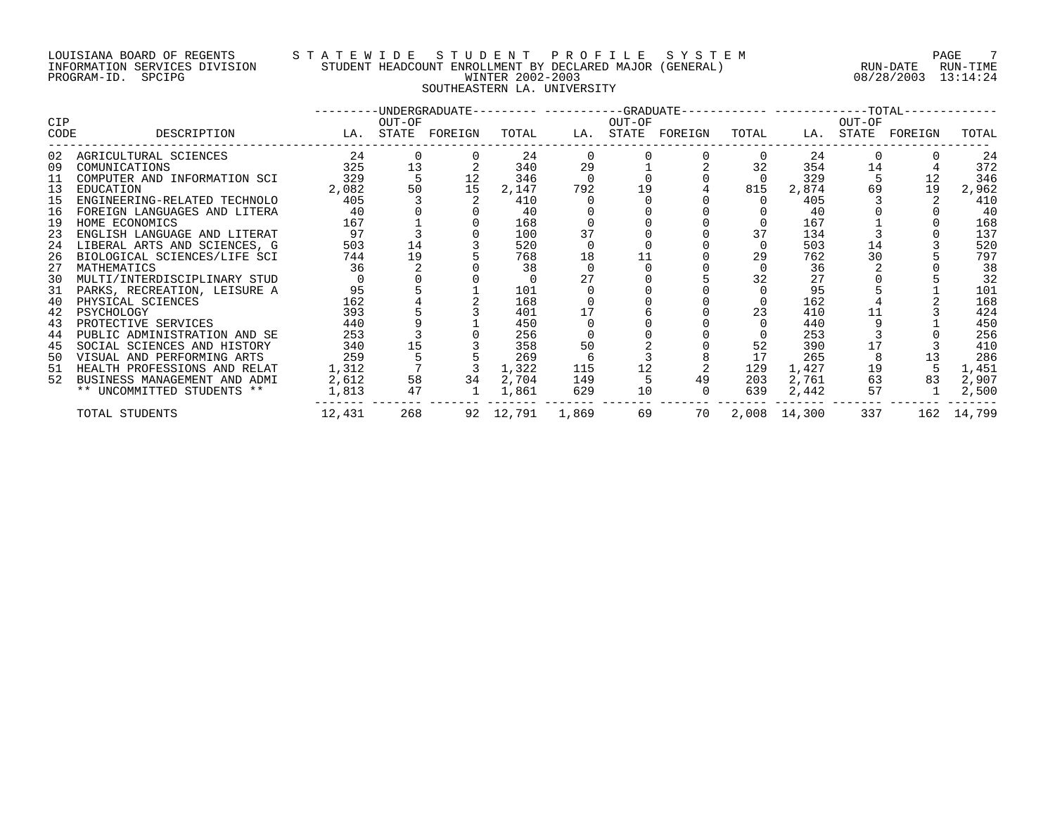# LOUISIANA BOARD OF REGENTS STA T E W I D E S T U D E N T P R O F I L E S Y S T E M T AGE 7 INFORMATION SERVICES DIVISION STUDENT HEADCOUNT ENROLLMENT BY DECLARED MAJOR (GENERAL) RUN-DATE RUN-TIME RUN-TIME<br>PROGRAM-ID. SPCIPG 89/28/2003 13:14:24 PROGRAM-ID. SPCIPG WINTER 2002-2003 08/28/2003 13:14:24 SOUTHEASTERN LA. UNIVERSITY

| <b>CIP</b> |                                 |          | OUT-OF         |                   |                 |     | OUT-OF | ---------UNDERGRADUATE---------- ---------GRADUATE------------ -------------TOTAL------------ |       |                     | OUT-OF |                   |            |
|------------|---------------------------------|----------|----------------|-------------------|-----------------|-----|--------|-----------------------------------------------------------------------------------------------|-------|---------------------|--------|-------------------|------------|
| CODE       | DESCRIPTION                     |          |                | LA. STATE FOREIGN | TOTAL           |     |        | LA. STATE FOREIGN                                                                             | TOTAL |                     |        | LA. STATE FOREIGN | TOTAL      |
| 02         | AGRICULTURAL SCIENCES           | 24       |                |                   | 24              |     |        |                                                                                               |       | 24                  |        |                   | 24         |
| 09         | COMUNICATIONS                   | 325      | 13             |                   | 340             | 29  |        |                                                                                               | 32    | 354                 | 14     |                   | 372        |
| 11         | COMPUTER AND INFORMATION SCI    | 329      |                | 12                | 346             |     |        |                                                                                               |       | 329                 |        | 12                | 346        |
| 13         | EDUCATION                       | 2,082    | 50             | 15                | 2,147           | 792 | 19     |                                                                                               | 815   | 2,874               | 69     | 19                | 2,962      |
| 15         | ENGINEERING-RELATED TECHNOLO    | 405      | $\overline{3}$ |                   | 410             |     |        |                                                                                               |       | 405                 |        |                   | 410        |
| 16         | FOREIGN LANGUAGES AND LITERA    | 40       |                |                   | 40              |     |        |                                                                                               |       | 40                  |        |                   | 40         |
| 19         | HOME ECONOMICS                  | 167      |                |                   | 168             |     |        |                                                                                               |       | 167                 |        |                   | 168        |
| 23         | ENGLISH LANGUAGE AND LITERAT    | 97       |                |                   | 100             | 37  |        |                                                                                               | 37    | 134                 |        |                   | 137        |
|            | 24 LIBERAL ARTS AND SCIENCES, G | 503      | 14             |                   | 520             |     |        |                                                                                               |       | 503                 | 14     |                   | 520        |
| 26         | BIOLOGICAL SCIENCES/LIFE SCI    | 744      | 19             |                   | 768             | 18  |        |                                                                                               | 29    | 762                 | 30     |                   | 797        |
| 27         | MATHEMATICS                     | 36       |                |                   | 38              |     |        |                                                                                               |       | 36                  |        |                   | 38         |
| 30         | MULTI/INTERDISCIPLINARY STUD    |          |                |                   |                 | 27  |        |                                                                                               | 32    | 27                  |        |                   | 32         |
|            | 31 PARKS, RECREATION, LEISURE A | 95       |                |                   | 101             |     |        |                                                                                               |       | 95                  |        |                   | 101        |
| 40         | PHYSICAL SCIENCES               | 162      |                |                   | 168             |     |        |                                                                                               |       | 162                 |        |                   | 168        |
| 42         | PSYCHOLOGY                      | 393      |                |                   | 401             |     |        |                                                                                               | 23    | 410                 |        |                   | 424        |
| 43         | PROTECTIVE SERVICES             | 440      |                |                   | 450             |     |        |                                                                                               |       | 440                 |        |                   | 450        |
| 44         | PUBLIC ADMINISTRATION AND SE    | 253      |                |                   | 256             |     |        |                                                                                               |       | 253                 |        |                   | 256        |
| 45         | SOCIAL SCIENCES AND HISTORY     | 340      | 15             |                   | 358             | 50  |        |                                                                                               | 52    | 390                 |        |                   | 410        |
| 50         | VISUAL AND PERFORMING ARTS      | 259      |                |                   | 269             |     |        |                                                                                               | 17    | 265                 |        | 13                | 286        |
|            | 51 HEALTH PROFESSIONS AND RELAT | 1,312    |                |                   | 1,322           | 115 |        |                                                                                               | 129   | 1,427               | 19     |                   | 1,451      |
| 52         | BUSINESS MANAGEMENT AND ADMI    | 2,612    | 58             | 34                | 2,704           | 149 |        | 49                                                                                            | 203   | 2,761               | 63     | 83                | 2,907      |
|            | ** UNCOMMITTED STUDENTS **      | 1,813 47 |                | $\overline{1}$    | 1,861           | 629 | 10     |                                                                                               |       | 639 2,442           | 57     |                   | 2,500      |
|            | TOTAL STUDENTS                  | 12,431   |                | 268               | 92 12,791 1,869 |     | 69     |                                                                                               |       | 70   2,008   14,300 | 337    |                   | 162 14,799 |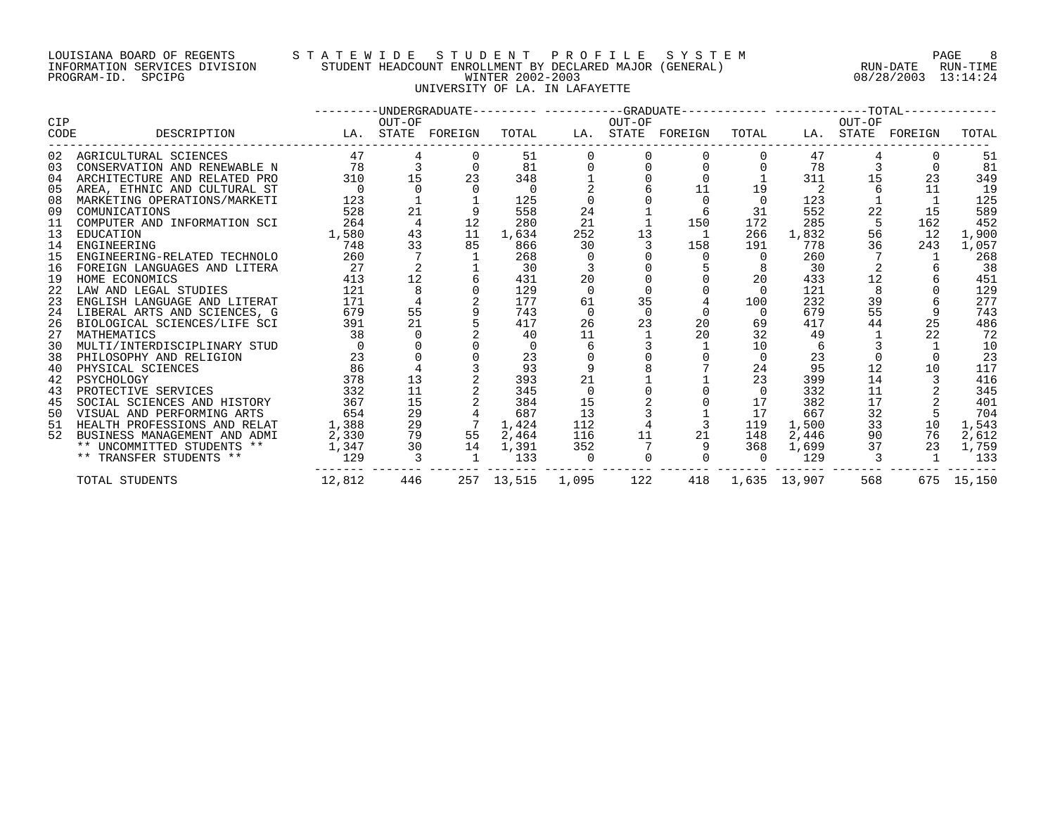### LOUISIANA BOARD OF REGENTS S T A T E W I D E S T U D E N T P R O F I L E S Y S T E M PAGE 8 INFORMATION SERVICES DIVISION STUDENT HEADCOUNT ENROLLMENT BY DECLARED MAJOR (GENERAL) RUN-DATE RUN-TIME PROGRAM-ID. SPCIPG WINTER 2002-2003 08/28/2003 13:14:24 UNIVERSITY OF LA. IN LAFAYETTE

| <b>CIP</b> |                                 |          | OUT-OF                   |                   |                  |                | OUT-OF | ---------UNDERGRADUATE--------- ----------GRADUATE----------- -----------TOTAL------------ |                |                  | OUT-OF |                   |            |
|------------|---------------------------------|----------|--------------------------|-------------------|------------------|----------------|--------|--------------------------------------------------------------------------------------------|----------------|------------------|--------|-------------------|------------|
| CODE       | DESCRIPTION                     |          |                          | LA. STATE FOREIGN | TOTAL            |                |        | LA. STATE FOREIGN TOTAL                                                                    |                |                  |        | LA. STATE FOREIGN | TOTAL      |
|            | 02 AGRICULTURAL SCIENCES        | 47       |                          |                   | 51               |                |        |                                                                                            |                | 47               |        |                   | 51         |
| 03         | CONSERVATION AND RENEWABLE N    | 78       | $\overline{3}$           |                   | 81               |                |        | $\Omega$                                                                                   |                | 78               |        | $\cap$            | 81         |
| 04         | ARCHITECTURE AND RELATED PRO    | 310      | 15                       | 23                | 348              |                |        |                                                                                            |                | 311              | 15     | 23                | 349        |
| 05         | AREA, ETHNIC AND CULTURAL ST    |          |                          |                   |                  |                |        | 11                                                                                         | 19             |                  |        | 11                | 19         |
| 08         | MARKETING OPERATIONS/MARKETI    | 123      |                          |                   | 125              |                |        | $\overline{0}$                                                                             | $\overline{0}$ | 123              |        |                   | 125        |
| 09         | COMUNICATIONS                   | 528      | 21                       |                   | 558              | 24             |        | - 6                                                                                        | 31             | 552              | 22     | 15                | 589        |
| 11         | COMPUTER AND INFORMATION SCI    | 264      | $\overline{4}$           | 12                | 280              | 21             |        | 150                                                                                        | 172            | 285              | -5     | 162               | 452        |
| 13         | EDUCATION                       | 1,580    | 43                       | 11                | 1,634            | 252            | 13     | $\overline{1}$                                                                             | 266            | 1,832            | 56     | 12                | 1,900      |
| 14         | ENGINEERING                     | 748      | 33                       | 85                | 866              | 30             |        | 158                                                                                        | 191            | 778              | 36     | 243               | 1,057      |
| 15         | ENGINEERING-RELATED TECHNOLO    | 260      |                          |                   | 268              |                |        | $\cap$                                                                                     | 0              | 260              |        |                   | 268        |
| 16         | FOREIGN LANGUAGES AND LITERA    | 27       |                          |                   | 30               | 3              |        |                                                                                            |                | 30               |        |                   | 38         |
| 19         | HOME ECONOMICS                  | 413      | 12                       |                   | 431              | 20             |        |                                                                                            | 20             | 433              | 12     |                   | 451        |
| 22         | LAW AND LEGAL STUDIES           | 121      | 8                        |                   | 129              | $\Omega$       |        |                                                                                            | $\Omega$       | 121              | 8      |                   | 129        |
| 23         | ENGLISH LANGUAGE AND LITERAT    | 171      |                          |                   | 177              | 61             | 35     |                                                                                            | 100            | 232              | 39     |                   | 277        |
|            | 24 LIBERAL ARTS AND SCIENCES, G | 679      | 55                       |                   | 743              |                |        |                                                                                            | $\Omega$       | 679              | 55     |                   | 743        |
| 26         | BIOLOGICAL SCIENCES/LIFE SCI    | 391      | 21                       |                   | 417              | 26             | 23     | 20                                                                                         | 69             | 417              | 44     | 25                | 486        |
| 27         | MATHEMATICS                     | 38       | $\overline{0}$           |                   | 40               | 11             |        | 20                                                                                         | 32             | 49               |        | 22                | 72         |
| 30         | MULTI/INTERDISCIPLINARY STUD    | $\Omega$ |                          |                   | $\Omega$         |                |        |                                                                                            | 10             | 6                |        |                   | 10         |
| 38         | PHILOSOPHY AND RELIGION         | 23       |                          |                   | 23               |                |        |                                                                                            | $\Omega$       | 23               |        |                   | 23         |
| 40         | PHYSICAL SCIENCES               | 86       |                          |                   | 93               |                |        |                                                                                            | 24             | 95               | 12     | 10                | 117        |
| 42         | PSYCHOLOGY                      | 378      | 13                       |                   | 393              | 21             |        |                                                                                            | 23             | 399              | 14     |                   | 416        |
| 43         | PROTECTIVE SERVICES             | 332      | 11                       |                   | 345              | $\overline{0}$ |        |                                                                                            | $\mathbf{0}$   | 332              | 11     |                   | 345        |
| 45         | SOCIAL SCIENCES AND HISTORY     | 367      | 15                       |                   | 384              | 15             |        |                                                                                            | 17             | 382              | 17     |                   | 401        |
| 50         | VISUAL AND PERFORMING ARTS      | 654      | 29                       |                   | 687              | 13             |        |                                                                                            | 17             | 667              | 32     |                   | 704        |
| 51         | HEALTH PROFESSIONS AND RELAT    | 1,388    | 29                       |                   | 1,424            | 112            |        |                                                                                            | 119            | 1,500            | 33     | 10                | 1,543      |
| 52         | BUSINESS MANAGEMENT AND ADMI    | 2,330    | 79                       | 55                | 2,464            | 116            | 11     | 21                                                                                         | 148            | 2,446            | 90     | 76                | 2,612      |
|            | ** UNCOMMITTED STUDENTS **      | 1,347    | 30                       | 14                | 1,391            | 352            |        |                                                                                            | 368            | 1,699            | 37     | 23                | 1,759      |
|            | ** TRANSFER STUDENTS **         | 129      | $\overline{\phantom{a}}$ | $\overline{1}$    | 133              | $\overline{0}$ |        | $\overline{0}$                                                                             | $\overline{0}$ | 129              |        | $\overline{1}$    | 133        |
|            | TOTAL STUDENTS                  | 12,812   | 446                      |                   | 257 13,515 1,095 |                | 122    |                                                                                            |                | 418 1,635 13,907 | 568    |                   | 675 15,150 |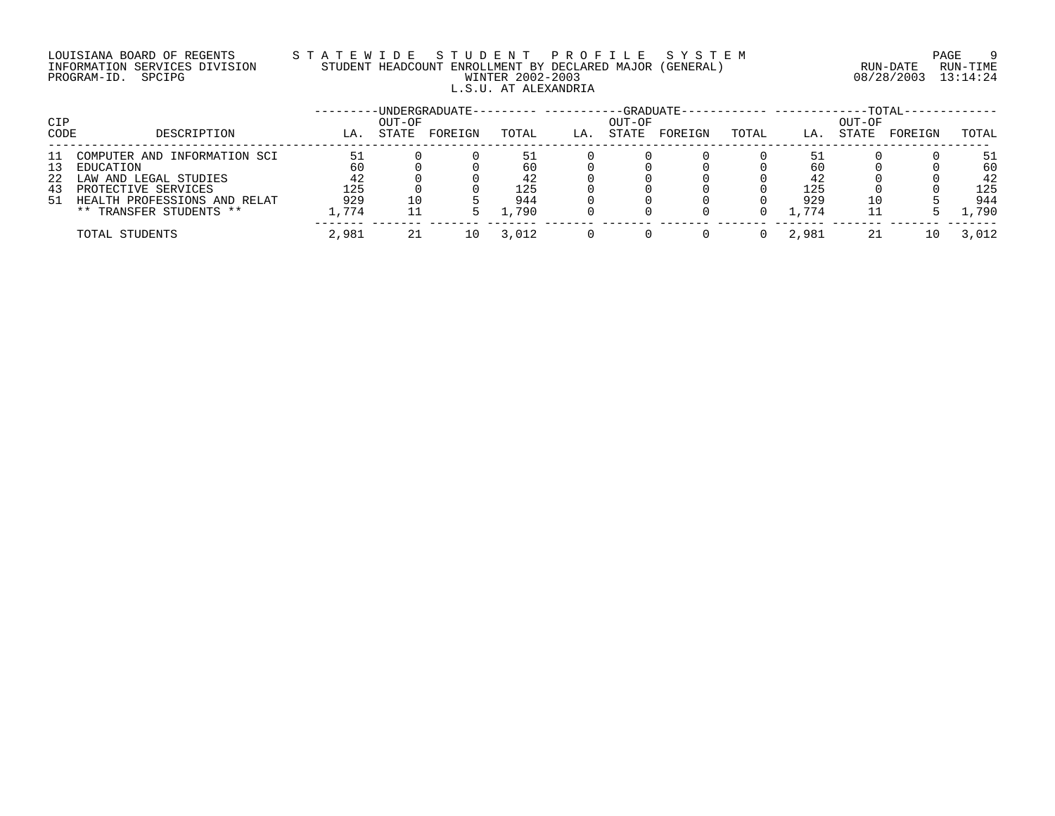# LOUISIANA BOARD OF REGENTS S T A T E W I D E S T U D E N T P R O F I L E S Y S T E M PAGE 9 INFORMATION SERVICES DIVISION STUDENT HEADCOUNT ENROLLMENT BY DECLARED MAJOR (GENERAL) RUN-DATE RUN-TIME PROGRAM-ID. SPCIPG WINTER 2002-2003 08/28/2003 13:14:24 L.S.U. AT ALEXANDRIA

| CIP  |                                 |       | OUT-OF | -UNDERGRADUATE-- |       |     | OUT-OF | $-GRADUATE - \cdot$ |       |       | OUT-OF | -TOTAL- |       |
|------|---------------------------------|-------|--------|------------------|-------|-----|--------|---------------------|-------|-------|--------|---------|-------|
| CODE | DESCRIPTION                     | LA.   | STATE  | FOREIGN          | TOTAL | LA. | STATE  | FOREIGN             | TOTAL | LA.   | STATE  | FOREIGN | TOTAL |
| 11   | COMPUTER AND INFORMATION SCI    |       |        |                  | 51    |     |        |                     |       | 51    |        |         | 51    |
| 13   | EDUCATION                       | 60    |        |                  | 60    |     |        |                     |       | 6 C   |        |         | 60    |
| 22   | LAW AND LEGAL STUDIES           | 42    |        |                  | 42    |     |        |                     |       | 42    |        |         | 42    |
| 43   | PROTECTIVE SERVICES             | 125   |        |                  | 125   |     |        |                     |       | 125   |        |         | 125   |
|      | 51 HEALTH PROFESSIONS AND RELAT | 929   |        |                  | 944   |     |        |                     |       | 929   |        |         | 944   |
|      | ** TRANSFER STUDENTS **         | ,774  |        |                  | 1,790 |     |        |                     |       | 1,774 |        |         | ,790  |
|      | TOTAL STUDENTS                  | 2,981 | 21     |                  | 3.012 |     |        |                     |       | 2,981 | 21     | 10      | 3,012 |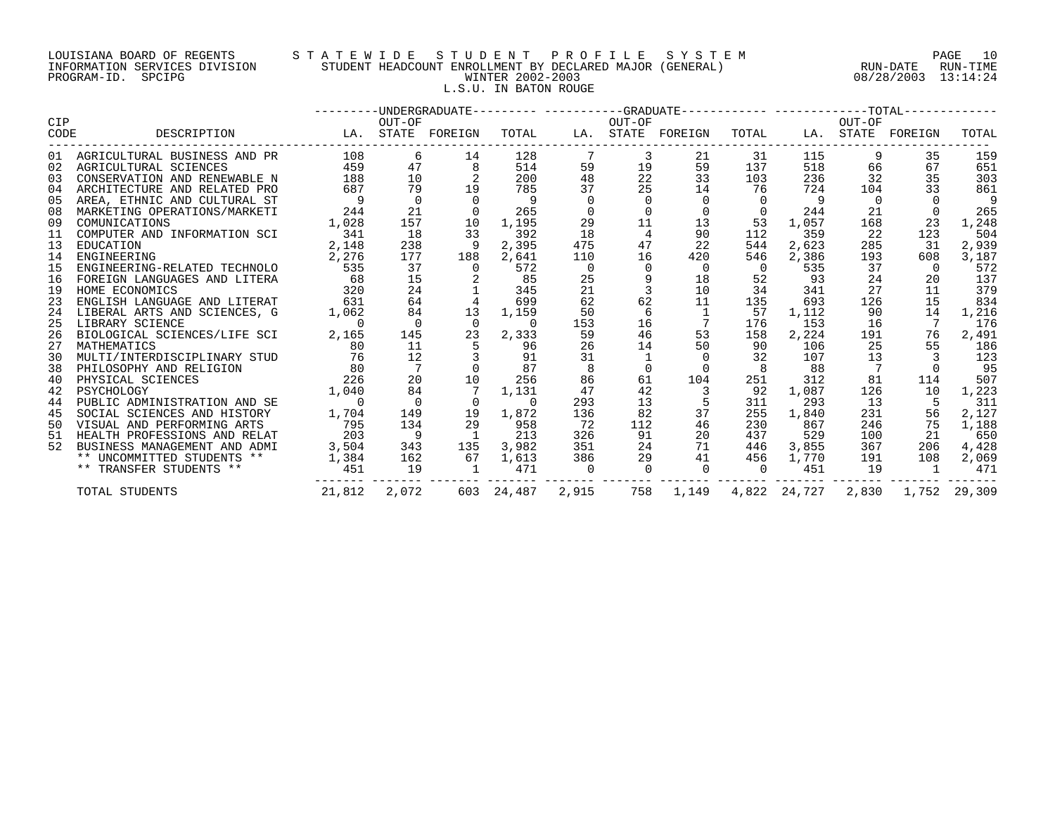#### LOUISIANA BOARD OF REGENTS S T A T E W I D E S T U D E N T P R O F I L E S Y S T E M PAGE 10 INFORMATION SERVICES DIVISION STUDENT HEADCOUNT ENROLLMENT BY DECLARED MAJOR (GENERAL) RUN-DATE RUN-TIME PROGRAM-ID. SPCIPG WINTER 2002-2003 08/28/2003 13:14:24 L.S.U. IN BATON ROUGE

| <b>CIP</b> |                                 |                   | OUT-OF         |                |                |                | OUT-OF   | --------DNDERGRADUATE--------- ----------GRADUATE----------- -----------TOTAL------------- |                |                          | OUT-OF         |                                 |       |
|------------|---------------------------------|-------------------|----------------|----------------|----------------|----------------|----------|--------------------------------------------------------------------------------------------|----------------|--------------------------|----------------|---------------------------------|-------|
| CODE       | DESCRIPTION                     | LA. STATE FOREIGN |                |                |                |                |          | TOTAL LA. STATE FOREIGN TOTAL LA. STATE FOREIGN                                            |                |                          |                |                                 | TOTAL |
|            | 01 AGRICULTURAL BUSINESS AND PR |                   | 108 7<br>6     | 14             | 128            |                | 3        | 21                                                                                         | 31             | 115                      | 9              | 35                              | 159   |
|            | 02 AGRICULTURAL SCIENCES        | 459               | 47             | 8              | 514            | 59             | 19       | 59                                                                                         | 137            | 518                      | 66             | 67                              | 651   |
| 03         | CONSERVATION AND RENEWABLE N    | 188               | 10             |                | 200            | 48             | 22       | 33                                                                                         | 103            | 236                      | 32             | 35                              | 303   |
| 04         | ARCHITECTURE AND RELATED PRO    | 687               | 79             | 19             | 785            | 37             | 25       | 14                                                                                         | 76             | 724                      | 104            | 33                              | 861   |
| 05         | AREA, ETHNIC AND CULTURAL ST    | $\overline{9}$    | $\overline{0}$ | $\overline{0}$ | - 9            | $\Omega$       |          | $\mathbf 0$                                                                                | $\Omega$       | - 9                      | $\overline{0}$ |                                 | 9     |
| 08         | MARKETING OPERATIONS/MARKETI    | 244               | 21             | $\overline{0}$ | 265            |                |          |                                                                                            |                | $0 \qquad \qquad$<br>244 | 21             |                                 | 265   |
| 09         | COMUNICATIONS                   | 1,028             | 157            | 10             | 1,195          | 29             | 11       | 13                                                                                         | 53             | 1,057                    | 168            | 23                              | 1,248 |
| 11         | COMPUTER AND INFORMATION SCI    | 341               | 18             | 33             | 392            | 18             |          | 90                                                                                         | 112            | 359                      | 22             | 123                             | 504   |
| 13         | EDUCATION                       | 2,148             | 238            | - 9            | 2,395          | 475            | 47       | 22                                                                                         | 544            | 2,623                    | 285            | 31                              | 2,939 |
| 14         | ENGINEERING                     | 2,276             | 177            | 188            | 2,641          | 110            | 16       | 420                                                                                        | 546            | 2,386                    | 193            | 608                             | 3,187 |
| 15         | ENGINEERING-RELATED TECHNOLO    | 535               | 37             | $\overline{0}$ | 572            | $\overline{0}$ | $\Omega$ | $\overline{0}$                                                                             | $\overline{0}$ | 535                      | 37             | $\overline{0}$                  | 572   |
| 16         | FOREIGN LANGUAGES AND LITERA    | 68                | 15             |                | 85             | 25             | 9        | 18                                                                                         | 52             | 93                       | 24             | 20                              | 137   |
| 19         | HOME ECONOMICS                  | 320               | 24             |                | 345            | 21             |          | 10                                                                                         | 34             | 341                      | 27             | 11                              | 379   |
| 23         | ENGLISH LANGUAGE AND LITERAT    | 631               | 64             | $\overline{4}$ | 699            | 62             | 62       | 11                                                                                         | 135            | 693                      | 126            | 15                              | 834   |
| 24         | LIBERAL ARTS AND SCIENCES, G    | 1,062             | 84             | 13             | 1,159          | 50             | 6        | $\overline{1}$                                                                             | 57             | 1,112                    | 90             | 14                              | 1,216 |
| 25         | LIBRARY SCIENCE                 | $\overline{0}$    | $\overline{0}$ | $\overline{0}$ | $\overline{0}$ | 153            | 16       |                                                                                            | 176            | 153                      | 16             |                                 | 176   |
| 26         | BIOLOGICAL SCIENCES/LIFE SCI    | 2,165             | 145            | 23             | 2,333          | 59             | 46       | 53                                                                                         | 158            | 2,224                    | 191            | 76                              | 2,491 |
| 27         | MATHEMATICS                     | 80                | 11             | 5 <sup>5</sup> | 96             | 26             | 14       | 50                                                                                         | 90             | 106                      | 25             | 55                              | 186   |
| 30         | MULTI/INTERDISCIPLINARY STUD    | 76                | 12             |                | 91             | 31             |          | $\Omega$                                                                                   | 32             | 107                      | 13             |                                 | 123   |
| 38         | PHILOSOPHY AND RELIGION         | 80                | 7              | $\Omega$       | 87             |                |          | $\Omega$                                                                                   |                | 88                       | 7              |                                 | 95    |
| 40         | 226<br>PHYSICAL SCIENCES        |                   | 20             | 10             | 256            | 86             | 61       | 104                                                                                        | 251            | 312                      | 81             | 114                             | 507   |
| 42         | PSYCHOLOGY                      | 1,040             | 84             |                | 1,131          | 47             | 42       | $\overline{\phantom{a}}$                                                                   | 92             | 1,087                    | 126            | 10                              | 1,223 |
| 44         | PUBLIC ADMINISTRATION AND SE    | $\overline{0}$    | $\overline{0}$ | $\overline{0}$ | $\overline{0}$ | 293            | 13       |                                                                                            | 311            | 293                      | 13             | 5                               | 311   |
| 45         | SOCIAL SCIENCES AND HISTORY     | 1,704             | 149            | 19             | 1,872          | 136            | 82       | 37                                                                                         | 255            | 1,840                    | 231            | 56                              | 2,127 |
| 50         | VISUAL AND PERFORMING ARTS      | 795               | 134            | 29             | 958            | 72             | 112      | 46                                                                                         | 230            | 867                      | 246            | 75                              | 1,188 |
| 51         | HEALTH PROFESSIONS AND RELAT    | 203               | - 9            | $\mathbf{1}$   | 213            | 326            | 91       | 20                                                                                         | 437            | 529                      | 100            | 21                              | 650   |
| 52         | BUSINESS MANAGEMENT AND ADMI    | 3,504             | 343            | 135            | 3,982          | 351            | 24       | 71                                                                                         | 446            | 3,855                    | 367            | 206                             | 4,428 |
|            | ** UNCOMMITTED STUDENTS **      |                   |                | 1,384 162 67   | 1,613          | 386            |          | 29<br>41                                                                                   | 456            | 1,770                    | 191            | 108                             | 2,069 |
|            | ** TRANSFER STUDENTS **         | 451               | 19             | 1              | 471            | $\overline{0}$ |          | $\overline{0}$ 0                                                                           | $\overline{0}$ | 451                      | 19             | $\sim$ 1                        | 471   |
|            | TOTAL STUDENTS                  | 21,812            | 2,072          |                | 603 24,487     | 2,915          | 758      | 1,149                                                                                      |                |                          |                | 4,822 24,727 2,830 1,752 29,309 |       |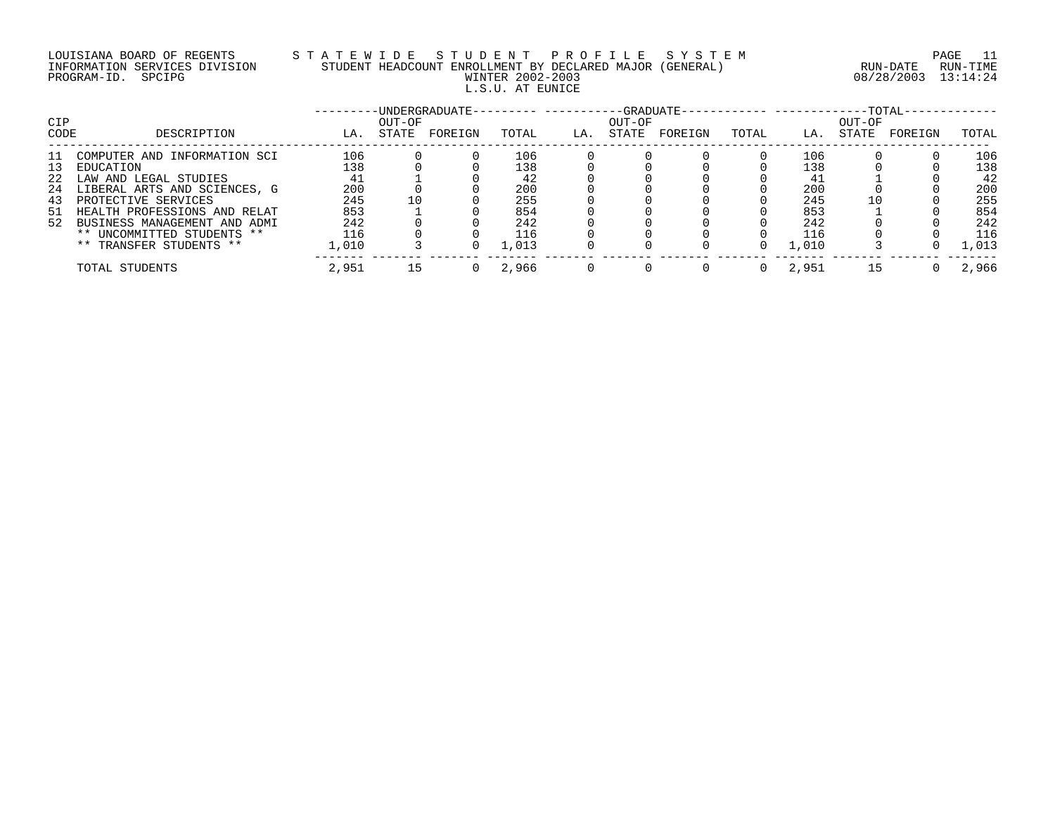# LOUISIANA BOARD OF REGENTS STATEWIDE STUDE STUDENT PROFILE SYSTEM PAGE 11<br>INFORMATION SERVICES DIVISION STUDENT HEADCOUNT ENROLLMENT BY DECLARED MAJOR (GENERAL) RUN-DATE RUN-TIME INFORMATION SERVICES DIVISION STUDENT HEADCOUNT ENROLLMENT BY DECLARED MAJOR (GENERAL) L.S.U. AT EUNICE

08/28/2003 13:14:24

| CIP      |                                                                 |            | OUT-OF | -UNDERGRADUATE- |            |     | $-GRADIIATE-$<br>OUT-OF |         |       |            | OUT-OF | $-TOTAL-$ |            |
|----------|-----------------------------------------------------------------|------------|--------|-----------------|------------|-----|-------------------------|---------|-------|------------|--------|-----------|------------|
| CODE     | DESCRIPTION                                                     | LA.        | STATE  | FOREIGN         | TOTAL      | LA. | STATE                   | FOREIGN | TOTAL | LA.        | STATE  | FOREIGN   | TOTAL      |
| 11<br>13 | COMPUTER AND INFORMATION SCI<br>EDUCATION                       | 106<br>138 |        |                 | 106<br>138 |     |                         |         |       | 106<br>138 |        |           | 106<br>138 |
| 22       | LAW AND LEGAL STUDIES                                           | 41         |        |                 | 42         |     |                         |         |       | 41         |        |           | 42         |
| 24<br>43 | LIBERAL ARTS AND SCIENCES, G<br>PROTECTIVE SERVICES             | 200<br>245 |        |                 | 200<br>255 |     |                         |         |       | 200<br>245 | 10     |           | 200<br>255 |
| -51      | HEALTH PROFESSIONS AND RELAT<br>52 BUSINESS MANAGEMENT AND ADMI | 853<br>242 |        |                 | 854<br>242 |     |                         |         |       | 853<br>242 |        |           | 854<br>242 |
|          | ** UNCOMMITTED STUDENTS **                                      | 116        |        |                 | 116        |     |                         |         |       | 116        |        |           | 116        |
|          | ** TRANSFER STUDENTS **                                         | 1,010      |        |                 | 1,013      |     |                         |         |       | 1,010      |        |           | 1,013      |
|          | TOTAL STUDENTS                                                  | 2,951      | 15     |                 | 2,966      |     |                         |         |       | 2,951      | 15     |           | 2,966      |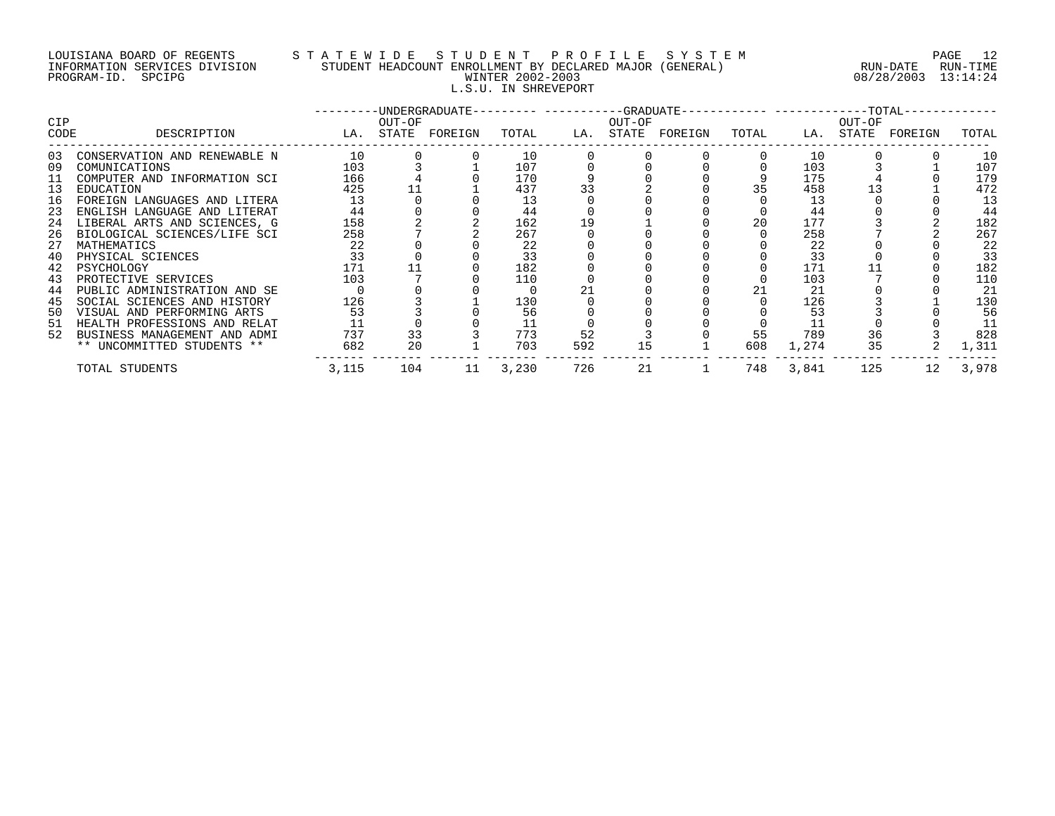# LOUISIANA BOARD OF REGENTS S T A T E W I D E S T U D E N T P R O F I L E S Y S T E M PAGE 12 INFORMATION SERVICES DIVISION STUDENT HEADCOUNT ENROLLMENT BY DECLARED MAJOR (GENERAL) RUN-DATE RUN-TIME PROGRAM-ID. SPCIPG WINTER 2002-2003 08/28/2003 13:14:24 L.S.U. IN SHREVEPORT

|             |                                                              |                   |        |    |            |     |        | -UNDERGRADUATE--------- ----------GRADUATE----------- -----------TOTAL- |       |            |        |                   |            |
|-------------|--------------------------------------------------------------|-------------------|--------|----|------------|-----|--------|-------------------------------------------------------------------------|-------|------------|--------|-------------------|------------|
| CIP<br>CODE | DESCRIPTION                                                  | LA. STATE FOREIGN | OUT-OF |    | TOTAL      |     | OUT-OF | LA. STATE FOREIGN                                                       | TOTAL |            | OUT-OF | LA. STATE FOREIGN | TOTAL      |
| 03          | CONSERVATION AND RENEWABLE N                                 | 10                |        |    | 10         |     |        |                                                                         |       | 10         |        |                   | 10         |
| 09<br>11    | COMUNICATIONS<br>COMPUTER AND INFORMATION SCI                | 103<br>166        |        |    | 107<br>170 |     |        |                                                                         |       | 103<br>175 |        |                   | 107<br>179 |
| 13          | EDUCATION                                                    | 425               |        |    | 437        | 33  |        |                                                                         | 35    | 458        |        |                   | 472        |
| 16<br>23    | FOREIGN LANGUAGES AND LITERA<br>ENGLISH LANGUAGE AND LITERAT | 13<br>44          |        |    | 13<br>44   |     |        |                                                                         |       | 13<br>44   |        |                   | 13<br>44   |
| 24          | LIBERAL ARTS AND SCIENCES, G                                 | 158               |        |    | 162        | 19  |        |                                                                         | 20    | 177        |        |                   | 182        |
| 26          | BIOLOGICAL SCIENCES/LIFE SCI                                 | 258               |        |    | 267        |     |        |                                                                         |       | 258        |        |                   | 267        |
| 27<br>40    | MATHEMATICS<br>PHYSICAL SCIENCES                             | 22<br>33          |        |    | 22<br>33   |     |        |                                                                         |       | 22<br>33   |        |                   | 22<br>33   |
| 42          | PSYCHOLOGY                                                   | 171               |        |    | 182        |     |        |                                                                         |       | 171        |        |                   | 182        |
| 43<br>44    | PROTECTIVE SERVICES<br>PUBLIC ADMINISTRATION AND SE          | 103               |        |    | 110        |     |        |                                                                         | 21    | 103<br>21  |        |                   | 110<br>21  |
| 45          | SOCIAL SCIENCES AND HISTORY                                  | 126               |        |    | 130        |     |        |                                                                         |       | 126        |        |                   | 130        |
| 50          | VISUAL AND PERFORMING ARTS                                   | 53                |        |    | 56         |     |        |                                                                         |       | 53         |        |                   | 56         |
| 51<br>52    | HEALTH PROFESSIONS AND RELAT<br>BUSINESS MANAGEMENT AND ADMI | 737               | 33     |    | 11<br>773  | 52  |        |                                                                         | 55    | 789        | 36     |                   | 11<br>828  |
|             | ** UNCOMMITTED STUDENTS **                                   | 682               | 20     |    | 703        | 592 |        |                                                                         | 608   | 1,274      | 35     |                   | 1,311      |
|             | TOTAL STUDENTS                                               | 3,115             | 104    | 11 | 3,230      | 726 | 21     |                                                                         | 748   | 3,841      | 125    | 12                | 3,978      |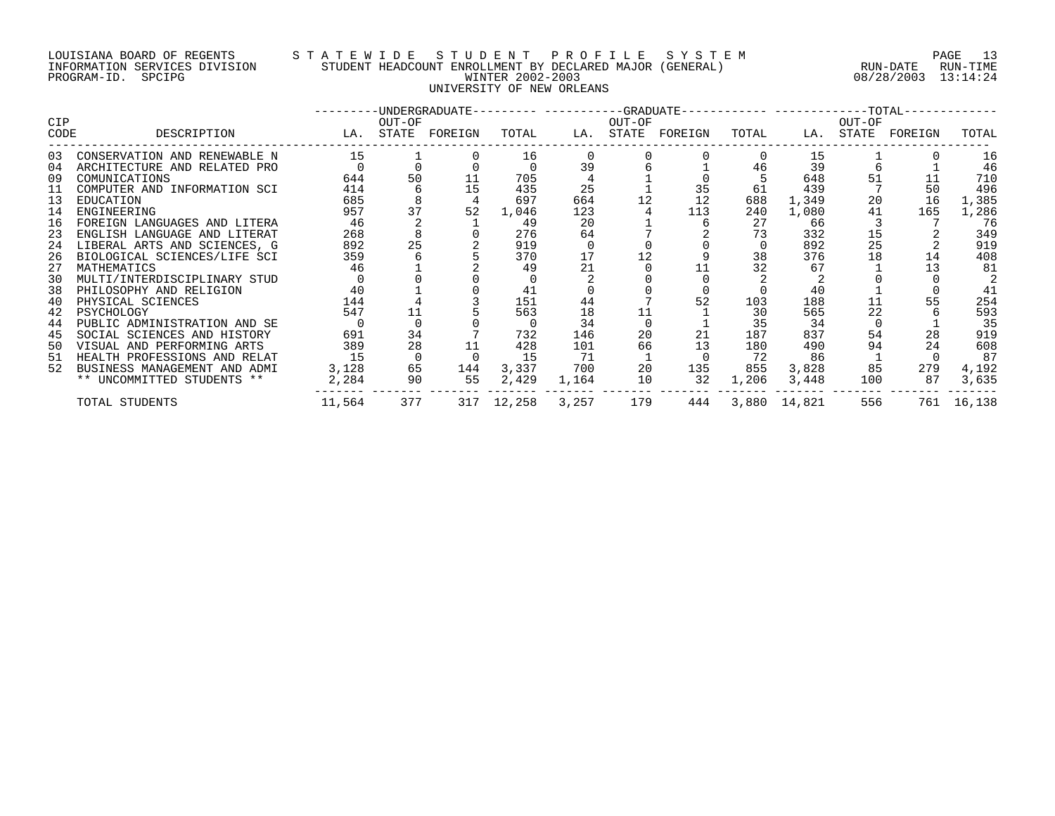#### LOUISIANA BOARD OF REGENTS S T A T E W I D E S T U D E N T P R O F I L E S Y S T E M PAGE 13 INFORMATION SERVICES DIVISION STUDENT HEADCOUNT ENROLLMENT BY DECLARED MAJOR (GENERAL) RUN-DATE RUN-TIME PROGRAM-ID. SPCIPG WINTER 2002-2003 08/28/2003 13:14:24 UNIVERSITY OF NEW ORLEANS

|            |                                 |                   |                |     |                  |       |        | ---------UNDERGRADUATE--------- ----------GRADUATE----------- -----------TOTAL------------ |       |                  |        |                         |            |
|------------|---------------------------------|-------------------|----------------|-----|------------------|-------|--------|--------------------------------------------------------------------------------------------|-------|------------------|--------|-------------------------|------------|
| <b>CIP</b> |                                 |                   | OUT-OF         |     |                  |       | OUT-OF |                                                                                            |       |                  | OUT-OF |                         |            |
| CODE       | DESCRIPTION                     | LA. STATE FOREIGN |                |     |                  |       |        | TOTAL LA. STATE FOREIGN                                                                    |       |                  |        | TOTAL LA. STATE FOREIGN | TOTAL      |
| 03         | CONSERVATION AND RENEWABLE N    | 15                |                |     | 16               |       |        |                                                                                            |       | 15               |        |                         | 16         |
| 04         | ARCHITECTURE AND RELATED PRO    |                   |                |     |                  | 39    |        |                                                                                            | 46    | 39               |        |                         | 46         |
| 09         | COMUNICATIONS                   | 644               | 50             |     | 705              |       |        |                                                                                            |       | 648              | 51     |                         | 710        |
| 11         | COMPUTER AND INFORMATION SCI    | 414               | 6              | 15  | 435              | 25    |        | 35                                                                                         | 61    | 439              |        | 50                      | 496        |
| 13         | EDUCATION                       | 685               |                |     | 697              | 664   | 12     | 12                                                                                         | 688   | 1,349            | 20     | 16                      | 1,385      |
| 14         | ENGINEERING                     | 957               | 37             | 52  | 1,046            | 123   |        | 113                                                                                        | 240   | 1,080            | 41     | 165                     | 1,286      |
| 16         | FOREIGN LANGUAGES AND LITERA    | 46                |                |     | 49               | 20    |        |                                                                                            | 27    | 66               |        |                         | 76         |
| 23         | ENGLISH LANGUAGE AND LITERAT    | 268               |                |     | 276              | 64    |        |                                                                                            | 73    | 332              | 15     |                         | 349        |
| 24         | LIBERAL ARTS AND SCIENCES, G    | 892               | 25             |     | 919              |       |        |                                                                                            | 0     | 892              | 25     |                         | 919        |
|            | 26 BIOLOGICAL SCIENCES/LIFE SCI | 359               |                |     | 370              | 17    |        |                                                                                            | 38    | 376              | 18     | 14                      | 408        |
| 27         | MATHEMATICS                     | 46                |                |     | 49               | 21    |        |                                                                                            | 32    | 67               |        |                         | 81         |
| 30         | MULTI/INTERDISCIPLINARY STUD    |                   |                |     |                  |       |        |                                                                                            |       |                  |        |                         |            |
| 38         | PHILOSOPHY AND RELIGION         | 40                |                |     | 41               |       |        |                                                                                            |       | 40               |        |                         | 41         |
| 40         | PHYSICAL SCIENCES               | 144               |                |     | 151              | 44    |        | 52                                                                                         | 103   | 188              | 11     |                         | 254        |
| 42         | PSYCHOLOGY                      | 547               | 11             |     | 563              | 18    | 11     |                                                                                            | 30    | 565              | 22     |                         | 593        |
| 44         | PUBLIC ADMINISTRATION AND SE    |                   |                |     |                  | 34    |        |                                                                                            | 35    | 34               |        |                         | 35         |
| 45         | SOCIAL SCIENCES AND HISTORY     | 691               | 34             |     | 732              | 146   | 20     | 21                                                                                         | 187   | 837              | 54     | 28                      | 919        |
|            | 50 VISUAL AND PERFORMING ARTS   | 389               | 28             |     | 428              | 101   | 66     | 13                                                                                         | 180   | 490              | 94     | 24                      | 608        |
| 51         | HEALTH PROFESSIONS AND RELAT    | 15                | $\overline{0}$ |     | 15               | 71    |        |                                                                                            | 72    | 86               |        |                         | 87         |
| 52         | BUSINESS MANAGEMENT AND ADMI    | 3,128             | 65             | 144 | 3,337            | 700   | 20     | 135                                                                                        | 855   | 3,828            | 85     | 279                     | 4,192      |
|            | ** UNCOMMITTED STUDENTS **      | 2,284             | 90             | 55  | 2,429            | 1,164 | 10     | 32                                                                                         | 1,206 | 3,448            | 100    | 87                      | 3,635      |
|            | TOTAL STUDENTS                  | 11,564            | 377            |     | 317 12,258 3,257 |       | 179    |                                                                                            |       | 444 3,880 14,821 | 556    |                         | 761 16,138 |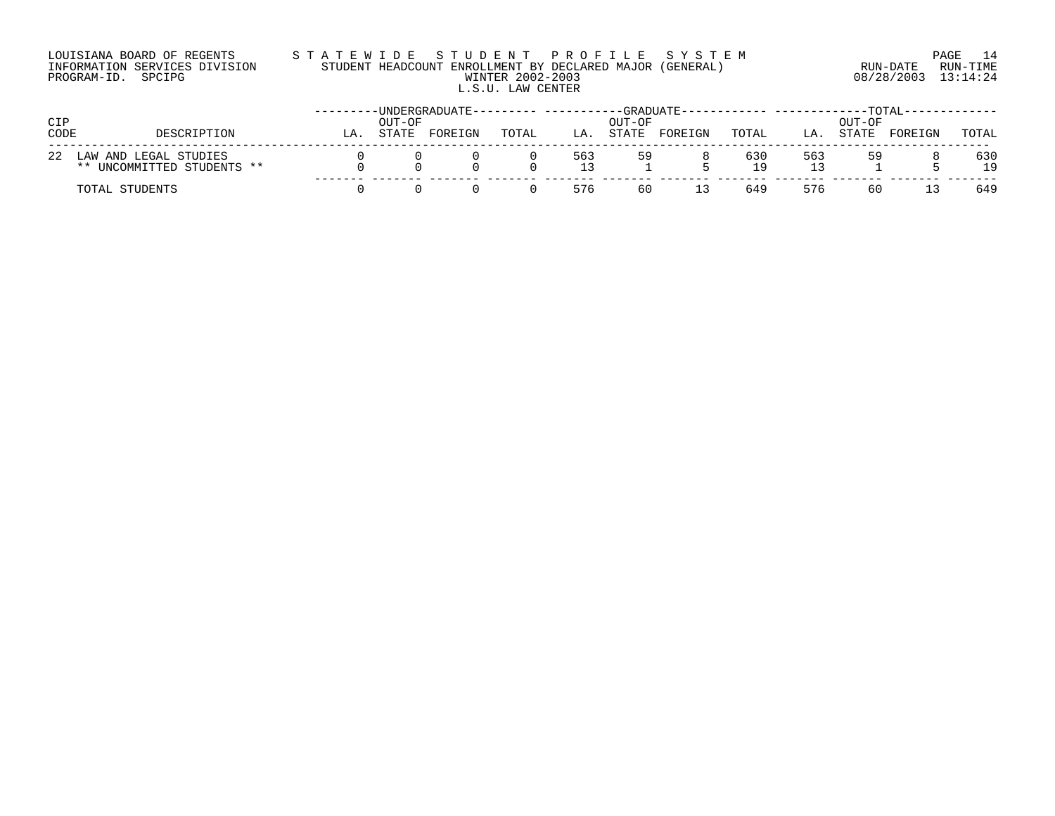# LOUISIANA BOARD OF REGENTS S T A T E W I D E S T U D E N T P R O F I L E S Y S T E M PAGE 14 INFORMATION SERVICES DIVISION STUDENT HEADCOUNT ENROLLMENT BY DECLARED MAJOR (GENERAL) RUN-DATE RUN-TIME PROGRAM-ID. SPCIPG WINTER 2002-2003 08/28/2003 13:14:24 L.S.U. LAW CENTER

| CIP  |                                                     |    | OUT-OF | -UNDERGRADUATE- |       |            | $-GRADUATE-$<br>OUT-OF |         |           |            | OUT-OF | <b>TOTAL</b> |           |
|------|-----------------------------------------------------|----|--------|-----------------|-------|------------|------------------------|---------|-----------|------------|--------|--------------|-----------|
| CODE | DESCRIPTION                                         | LA | STATE  | FOREIGN         | TOTAL | LA.        | STATE                  | FOREIGN | TOTAL     | LA.        | STATE  | FOREIGN      | TOTAL     |
| 22   | LAW AND LEGAL STUDIES<br>** UNCOMMITTED STUDENTS ** |    |        |                 |       | 563<br>1 ว | 59                     |         | 630<br>19 | 563<br>1 2 | 59     |              | 630<br>19 |
|      | TOTAL STUDENTS                                      |    |        |                 |       | 576        | 60                     | 13      | 649       | 576        | 60     |              | 649       |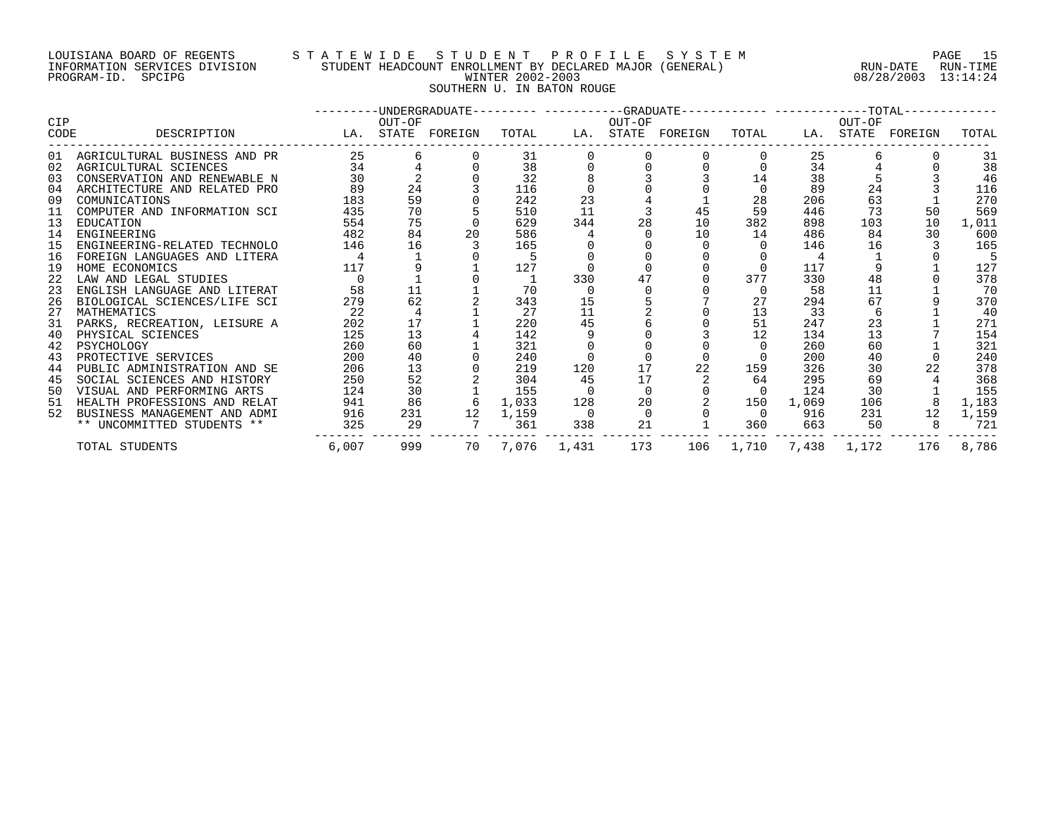#### LOUISIANA BOARD OF REGENTS S T A T E W I D E S T U D E N T P R O F I L E S Y S T E M PAGE 15 INFORMATION SERVICES DIVISION STUDENT HEADCOUNT ENROLLMENT BY DECLARED MAJOR (GENERAL) RUN-DATE RUN-TIME PROGRAM-ID. SPCIPG WINTER 2002-2003 08/28/2003 13:14:24 SOUTHERN U. IN BATON ROUGE

|      |                                 |       |        | ---------UNDERGRADUATE--------- ----------GRADUATE----------- -----------TOTAL------------ |       |             |        |                   |                   |       |        |                   |       |
|------|---------------------------------|-------|--------|--------------------------------------------------------------------------------------------|-------|-------------|--------|-------------------|-------------------|-------|--------|-------------------|-------|
| CIP  |                                 |       | OUT-OF |                                                                                            |       |             | OUT-OF |                   |                   |       | OUT-OF |                   |       |
| CODE | DESCRIPTION                     |       |        | LA. STATE FOREIGN                                                                          | TOTAL |             |        | LA. STATE FOREIGN | TOTAL             |       |        | LA. STATE FOREIGN | TOTAL |
|      | 01 AGRICULTURAL BUSINESS AND PR | 25    | 6      |                                                                                            | 31    |             |        |                   |                   | 25    |        |                   | 31    |
| 02   | AGRICULTURAL SCIENCES           | 34    |        |                                                                                            | 38    |             |        |                   |                   | 34    |        |                   | 38    |
| 03   | CONSERVATION AND RENEWABLE N    | 30    |        |                                                                                            | 32    |             |        |                   | 14                | 38    |        |                   | 46    |
| 04   | ARCHITECTURE AND RELATED PRO    | 89    | 24     |                                                                                            | 116   |             |        |                   | $\Omega$          | 89    | 24     |                   | 116   |
| 09   | COMUNICATIONS                   | 183   | 59     |                                                                                            | 242   | 23          |        |                   | 28                | 206   | 63     |                   | 270   |
| 11   | COMPUTER AND INFORMATION SCI    | 435   | 70     |                                                                                            | 510   | 11          |        | 45                | 59                | 446   | 73     | 50                | 569   |
| 13   | EDUCATION                       | 554   | 75     |                                                                                            | 629   | 344         | 28     | 10                | 382               | 898   | 103    | 10                | 1,011 |
| 14   | ENGINEERING                     | 482   | 84     | 20                                                                                         | 586   |             |        | 10                | 14                | 486   | 84     | 30                | 600   |
| 15   | ENGINEERING-RELATED TECHNOLO    | 146   | 16     |                                                                                            | 165   |             |        |                   |                   | 146   | 16     |                   | 165   |
| 16   | FOREIGN LANGUAGES AND LITERA    |       |        |                                                                                            |       |             |        |                   |                   |       |        |                   |       |
| 19   | HOME ECONOMICS                  | 117   |        |                                                                                            | 127   |             |        |                   | $\Omega$          | 117   |        |                   | 127   |
| 22   | LAW AND LEGAL STUDIES           |       |        |                                                                                            |       | 330         |        |                   | 377               | 330   | 48     |                   | 378   |
| 23   | ENGLISH LANGUAGE AND LITERAT    | 58    | 11     |                                                                                            | 70    |             |        |                   |                   | 58    | 11     |                   | 70    |
| 26   | BIOLOGICAL SCIENCES/LIFE SCI    | 279   | 62     |                                                                                            | 343   | 15          |        |                   | 27                | 294   | 67     |                   | 370   |
| 27   | MATHEMATICS                     | 22    |        |                                                                                            | 27    | 11          |        |                   | 13                | 33    |        |                   | 40    |
| 31   | PARKS, RECREATION, LEISURE A    | 202   | 17     |                                                                                            | 220   | 45          |        |                   | 51                | 247   | 23     |                   | 271   |
| 40   | PHYSICAL SCIENCES               | 125   | 13     |                                                                                            | 142   |             |        |                   | 12                | 134   | 13     |                   | 154   |
| 42   | PSYCHOLOGY                      | 260   | 60     |                                                                                            | 321   |             |        |                   |                   | 260   | 60     |                   | 321   |
| 43   | PROTECTIVE SERVICES             | 200   | 40     |                                                                                            | 240   |             |        |                   |                   | 200   | 40     |                   | 240   |
| 44   | PUBLIC ADMINISTRATION AND SE    | 206   | 13     |                                                                                            | 219   | 120         | 17     | 22                | 159               | 326   | 30     |                   | 378   |
| 45   | SOCIAL SCIENCES AND HISTORY     | 250   | 52     |                                                                                            | 304   | 45          | 17     |                   | 64                | 295   | 69     |                   | 368   |
| 50   | VISUAL AND PERFORMING ARTS      | 124   | 30     |                                                                                            | 155   |             |        |                   | $\Omega$          | 124   | 30     |                   | 155   |
| 51   | HEALTH PROFESSIONS AND RELAT    | 941   | 86     | 6                                                                                          | 1,033 | 128         | 20     |                   | 150               | 1,069 | 106    |                   | 1,183 |
| 52   | BUSINESS MANAGEMENT AND ADMI    | 916   | 231    | 12                                                                                         | 1,159 |             |        |                   | $\Omega$          | 916   | 231    | 12                | 1,159 |
|      | ** UNCOMMITTED STUDENTS **      | 325   | 29     |                                                                                            | 361   | 338         | 21     |                   | 360               | 663   | 50     |                   | 721   |
|      | TOTAL STUDENTS                  | 6,007 | 999    | 70                                                                                         |       | 7,076 1,431 | 173    | 106               | 1,710 7,438 1,172 |       |        | 176               | 8,786 |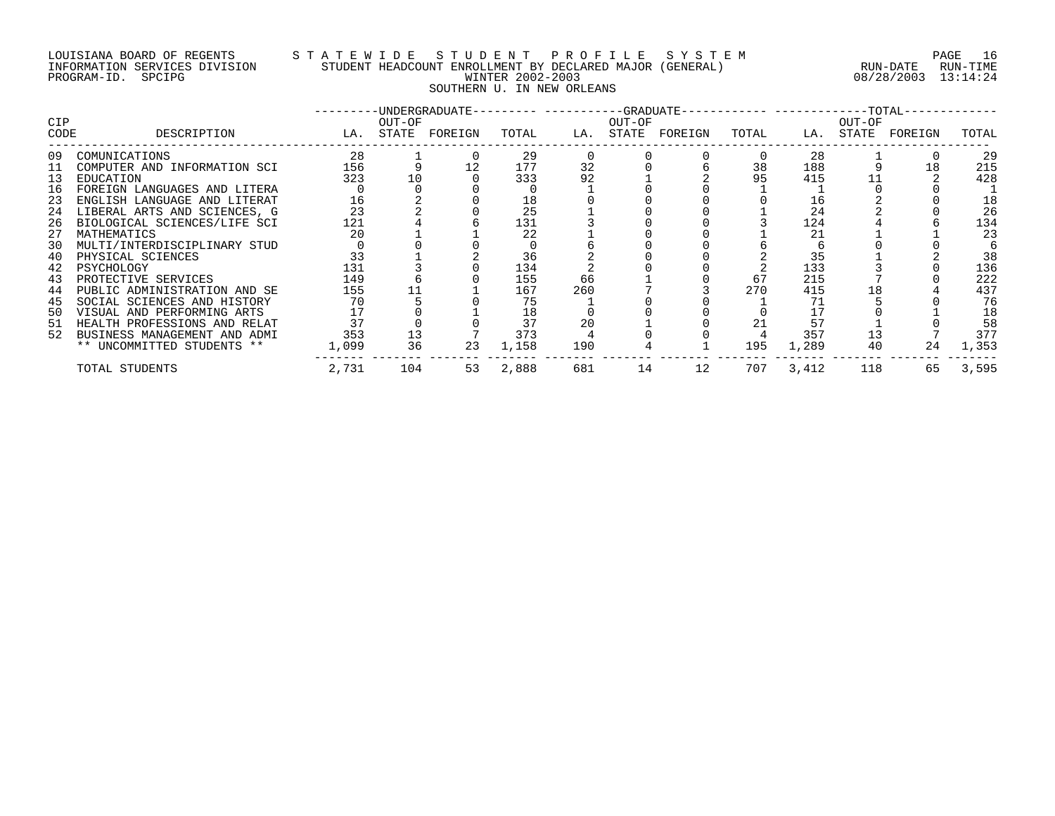#### LOUISIANA BOARD OF REGENTS S T A T E W I D E S T U D E N T P R O F I L E S Y S T E M PAGE 16 INFORMATION SERVICES DIVISION STUDENT HEADCOUNT ENROLLMENT BY DECLARED MAJOR (GENERAL) RUN-DATE RUN-TIME PROGRAM-ID. SPCIPG WINTER 2002-2003 08/28/2003 13:14:24 SOUTHERN U. IN NEW ORLEANS

|             |                                                              |            |        |                   |            |          |        | -UNDERGRADUATE--------- ----------GRADUATE----------- -----------TOTAL- |          |            |        |                   |            |
|-------------|--------------------------------------------------------------|------------|--------|-------------------|------------|----------|--------|-------------------------------------------------------------------------|----------|------------|--------|-------------------|------------|
| CIP<br>CODE | DESCRIPTION                                                  |            | OUT-OF | LA. STATE FOREIGN | TOTAL      |          | OUT-OF | LA. STATE FOREIGN                                                       | TOTAL    |            | OUT-OF | LA. STATE FOREIGN | TOTAL      |
| 09          | COMUNICATIONS                                                | 28         |        |                   | 29         |          |        |                                                                         |          | 28         |        |                   | 29         |
| 11<br>13    | COMPUTER AND INFORMATION SCI<br>EDUCATION                    | 156<br>323 | 10     |                   | 177<br>333 | 32<br>92 |        |                                                                         | 38<br>95 | 188<br>415 |        | 18                | 215<br>428 |
| 16          | FOREIGN LANGUAGES AND LITERA                                 |            |        |                   |            |          |        |                                                                         |          |            |        |                   |            |
| 23          | ENGLISH LANGUAGE AND LITERAT                                 | 16         |        |                   | 18         |          |        |                                                                         |          | 16         |        |                   | 18         |
| 24<br>26    | LIBERAL ARTS AND SCIENCES, G<br>BIOLOGICAL SCIENCES/LIFE SCI | 23<br>121  |        |                   | 25<br>131  |          |        |                                                                         |          | 24<br>124  |        |                   | 26<br>134  |
| 27          | MATHEMATICS                                                  | 20         |        |                   | 22         |          |        |                                                                         |          | 21         |        |                   | 23         |
| 30          | MULTI/INTERDISCIPLINARY STUD                                 |            |        |                   |            |          |        |                                                                         |          |            |        |                   |            |
| 40          | PHYSICAL SCIENCES                                            | 33         |        |                   | 36         |          |        |                                                                         |          | 35         |        |                   | 38         |
| 42          | PSYCHOLOGY                                                   | 131        |        |                   | 134        |          |        |                                                                         |          | 133        |        |                   | 136        |
| 43          | PROTECTIVE SERVICES                                          | 149        |        |                   | 155        | 66       |        |                                                                         | 67       | 215        |        |                   | 222        |
| 44          | PUBLIC ADMINISTRATION AND SE                                 | 155        |        |                   | 167        | 260      |        |                                                                         | 270      | 415        | 18     |                   | 437        |
| 45          | SOCIAL SCIENCES AND HISTORY                                  | 70         |        |                   | 75         |          |        |                                                                         |          |            |        |                   | 76         |
| 50          | VISUAL AND PERFORMING ARTS                                   |            |        |                   | 18         |          |        |                                                                         |          |            |        |                   | 18         |
| 51          | HEALTH PROFESSIONS AND RELAT                                 | 37         |        |                   | 37         | 20       |        |                                                                         |          | 57         |        |                   | 58         |
| 52          | BUSINESS MANAGEMENT AND ADMI                                 | 353        | 13     |                   | 373        |          |        |                                                                         |          | 357        | 13     |                   | 377        |
|             | ** UNCOMMITTED STUDENTS **                                   | 1,099      | 36     | 23                | 1,158      | 190      |        |                                                                         | 195      | 1,289      | 40     | 24                | 1,353      |
|             | TOTAL STUDENTS                                               | 2,731      | 104    | 53                | 2,888      | 681      | 14     | 12                                                                      | 707      | 3,412      | 118    | 65                | 3,595      |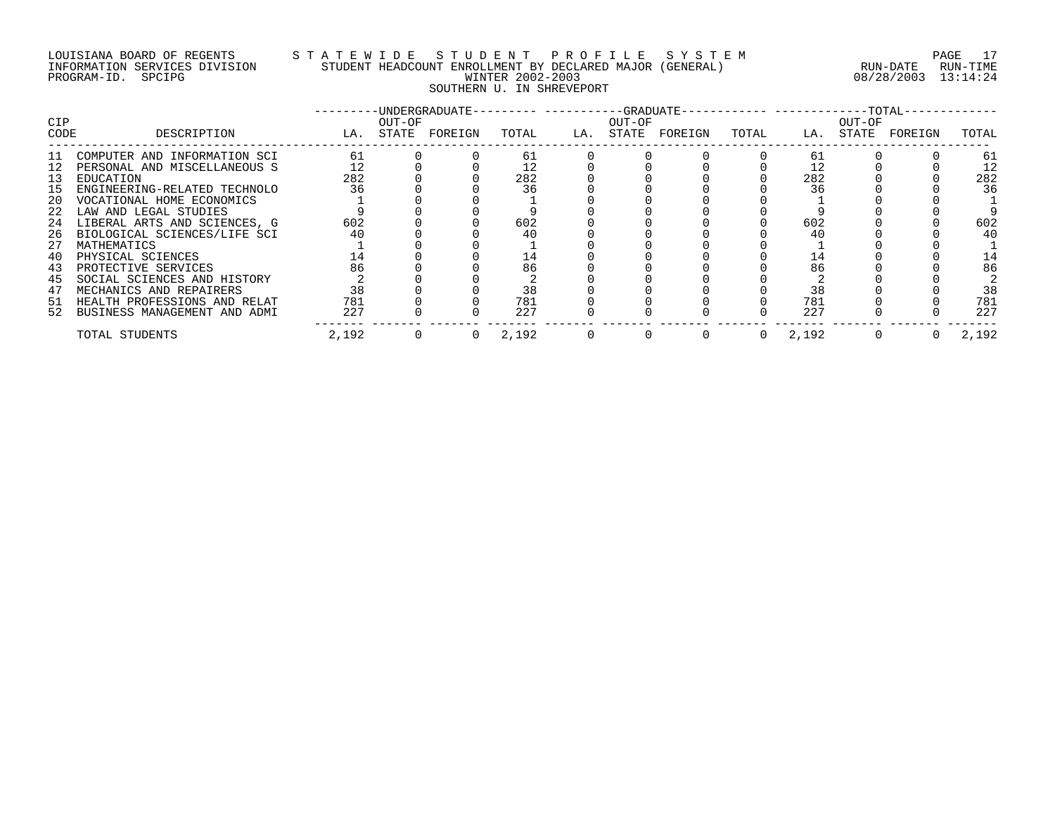# LOUISIANA BOARD OF REGENTS S T A T E W I D E S T U D E N T P R O F I L E S Y S T E M PAGE 17 INFORMATION SERVICES DIVISION STUDENT HEADCOUNT ENROLLMENT BY DECLARED MAJOR (GENERAL) RUN-DATE RUN-TIME PROGRAM-ID. SPCIPG WINTER 2002-2003 08/28/2003 13:14:24 SOUTHERN U. IN SHREVEPORT

| CIP<br>CODE | DESCRIPTION                     |       | OUT-OF | -UNDERGRADUATE--------- ----------GRADUATE----------- -----------TOTAL-<br>LA. STATE FOREIGN | TOTAL | OUT-OF | LA. STATE FOREIGN | TOTAL        |       | OUT-OF | LA. STATE FOREIGN | TOTAL |
|-------------|---------------------------------|-------|--------|----------------------------------------------------------------------------------------------|-------|--------|-------------------|--------------|-------|--------|-------------------|-------|
|             |                                 |       |        |                                                                                              |       |        |                   |              |       |        |                   |       |
| 11          | COMPUTER AND INFORMATION SCI    | 61    |        |                                                                                              | 61    |        |                   |              | 61    |        |                   | 61    |
|             | 12 PERSONAL AND MISCELLANEOUS S |       |        |                                                                                              | 12    |        |                   |              |       |        |                   |       |
| 13          | EDUCATION                       | 282   |        |                                                                                              | 282   |        |                   |              | 282   |        |                   | 282   |
| 15          | ENGINEERING-RELATED TECHNOLO    | 36    |        |                                                                                              | 36    |        |                   |              | 36    |        |                   | 36    |
| -20         | VOCATIONAL HOME ECONOMICS       |       |        |                                                                                              |       |        |                   |              |       |        |                   |       |
| 22          | LAW AND LEGAL STUDIES           |       |        |                                                                                              |       |        |                   |              |       |        |                   |       |
| 24          | LIBERAL ARTS AND SCIENCES, G    | 602   |        |                                                                                              | 602   |        |                   |              | 602   |        |                   | 602   |
| 26          | BIOLOGICAL SCIENCES/LIFE SCI    | 40    |        |                                                                                              | 40    |        |                   |              |       |        |                   | 40    |
| 27          | MATHEMATICS                     |       |        |                                                                                              |       |        |                   |              |       |        |                   |       |
| 40          | PHYSICAL SCIENCES               | 14    |        |                                                                                              | 14    |        |                   |              | 14    |        |                   | 14    |
| 43          | PROTECTIVE SERVICES             | 86    |        |                                                                                              | 86    |        |                   |              | 86    |        |                   | 86    |
| 45          | SOCIAL SCIENCES AND HISTORY     |       |        |                                                                                              |       |        |                   |              |       |        |                   |       |
| 47          | MECHANICS AND REPAIRERS         | 38    |        |                                                                                              | 38    |        |                   |              | 38    |        |                   | 38    |
| 51          | HEALTH PROFESSIONS AND RELAT    | 781   |        |                                                                                              | 781   |        |                   |              | 781   |        |                   | 781   |
|             | 52 BUSINESS MANAGEMENT AND ADMI | 227   |        |                                                                                              | 227   |        |                   |              | 227   |        |                   | 227   |
|             | TOTAL STUDENTS                  | 2,192 | 0      |                                                                                              | 2,192 | 0      |                   | $\mathbf{0}$ | 2,192 | 0      |                   | 2,192 |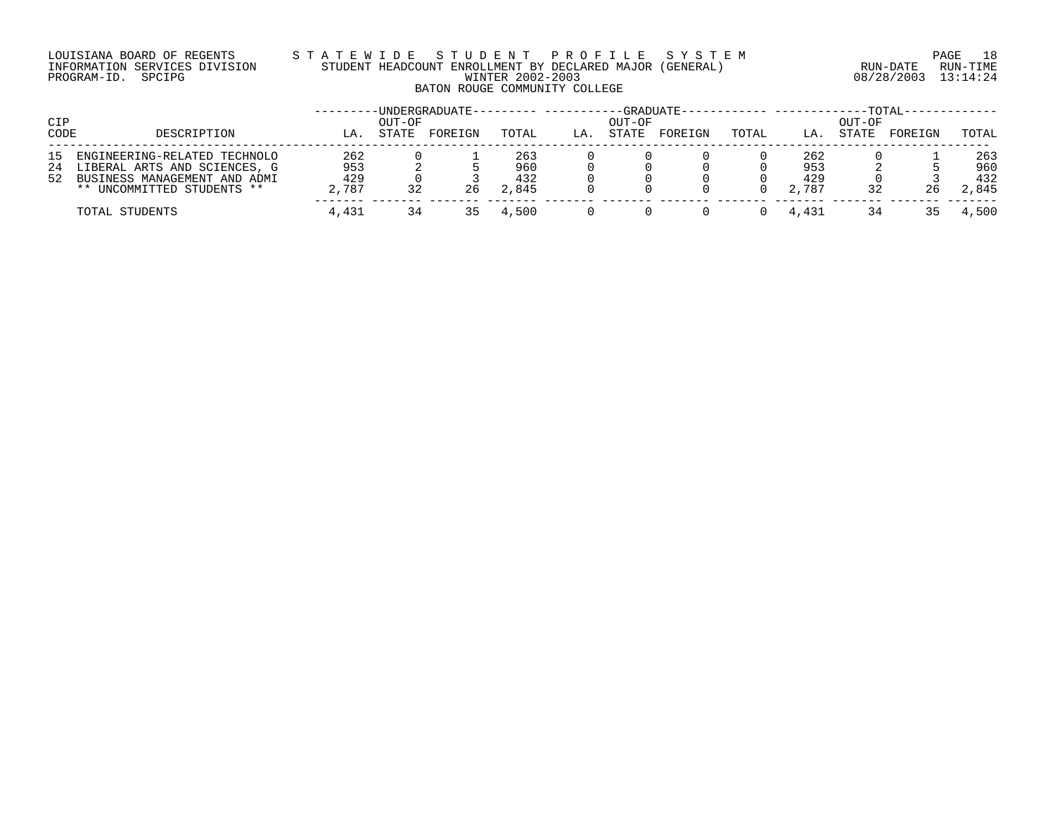#### LOUISIANA BOARD OF REGENTS S T A T E W I D E S T U D E N T P R O F I L E S Y S T E M PAGE 18 INFORMATION SERVICES DIVISION STUDENT HEADCOUNT ENROLLMENT BY DECLARED MAJOR (GENERAL) RUN-DATE RUN-TIME PROGRAM-ID. SPCIPG WINTER 2002-2003 08/28/2003 13:14:24 BATON ROUGE COMMUNITY COLLEGE

| CIP  |                              |       | OUT-OF | ·UNDERGRADUATE- |       |     | OUT-OF | -GRADUATE- |       |       | OUT-OF | -TOTAL- |       |
|------|------------------------------|-------|--------|-----------------|-------|-----|--------|------------|-------|-------|--------|---------|-------|
| CODE | DESCRIPTION                  | LA    | STATE  | FOREIGN         | TOTAL | LA. | STATE  | FOREIGN    | TOTAL | LA.   | STATE  | FOREIGN | TOTAL |
| 15   | ENGINEERING-RELATED TECHNOLO | 262   |        |                 | 263   |     |        |            |       | 262   |        |         | 263   |
| 24   | LIBERAL ARTS AND SCIENCES, G | 953   |        |                 | 960   |     |        |            |       | 953   |        |         | 960   |
| 52   | BUSINESS MANAGEMENT AND ADMI | 429   |        |                 | 432   |     |        |            |       | 429   |        |         | 432   |
|      | ** UNCOMMITTED STUDENTS **   | 2,787 |        | 26              | 2,845 |     |        |            |       | 2,787 | 32     | 26      | 2,845 |
|      | TOTAL STUDENTS               | 4,431 |        |                 | 4,500 |     |        |            |       | 4,431 | 34     |         | 4,500 |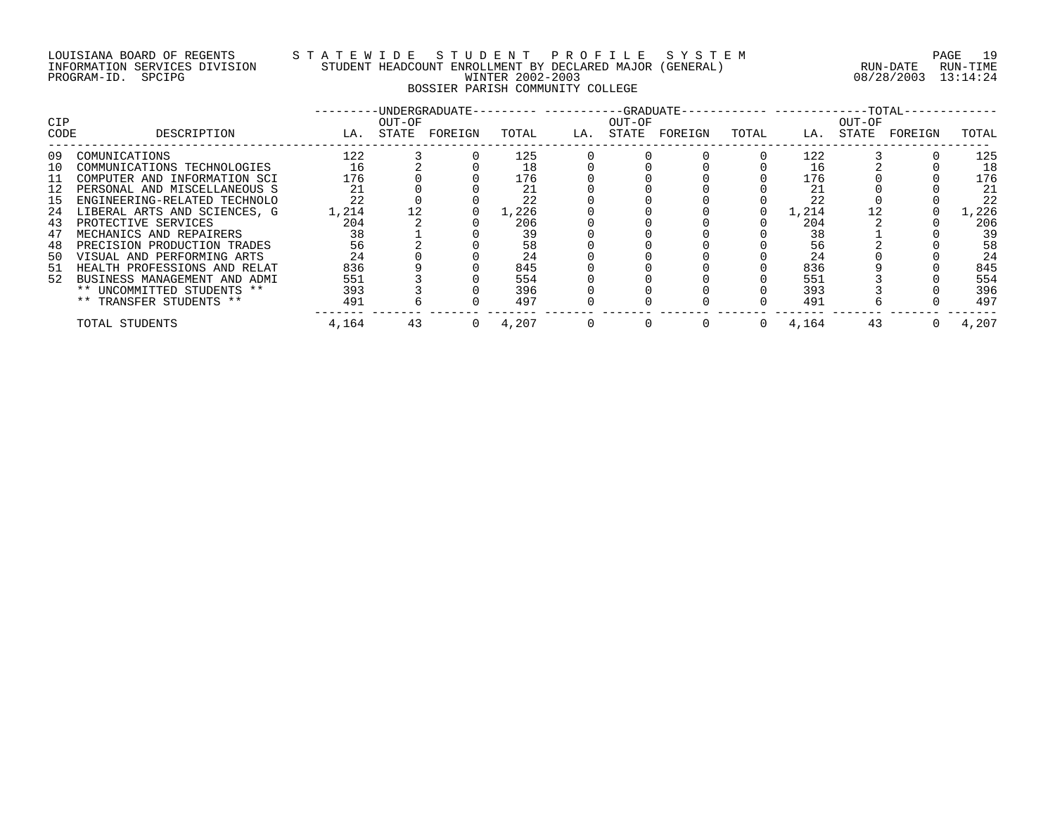# LOUISIANA BOARD OF REGENTS S T A T E W I D E S T U D E N T P R O F I L E S Y S T E M PAGE 19 INFORMATION SERVICES DIVISION STUDENT HEADCOUNT ENROLLMENT BY DECLARED MAJOR (GENERAL) RUN-DATE RUN-TIME PROGRAM-ID. SPCIPG WINTER 2002-2003 08/28/2003 13:14:24 BOSSIER PARISH COMMUNITY COLLEGE

| <b>CIP</b> |                              |       | OUT-OF | -UNDERGRADUATE- |       |     | OUT-OF |               |       |       | OUT-OF |         |       |
|------------|------------------------------|-------|--------|-----------------|-------|-----|--------|---------------|-------|-------|--------|---------|-------|
| CODE       | DESCRIPTION                  | LA.   | STATE  | FOREIGN         | TOTAL | LA. |        | STATE FOREIGN | TOTAL | LA.   | STATE  | FOREIGN | TOTAL |
| 09         | COMUNICATIONS                | 122   |        |                 | 125   |     |        |               |       | 122   |        |         | 125   |
| 10         | COMMUNICATIONS TECHNOLOGIES  | 16    |        |                 | 18    |     |        |               |       | 16    |        |         | 18    |
| 11         | COMPUTER AND INFORMATION SCI | 176   |        |                 | 176   |     |        |               |       | 176   |        |         | 176   |
|            | PERSONAL AND MISCELLANEOUS S | 21    |        |                 | 21    |     |        |               |       | 21    |        |         | 21    |
| 15         | ENGINEERING-RELATED TECHNOLO | 22    |        |                 | 22    |     |        |               |       | 22    |        |         | 22    |
| 24         | LIBERAL ARTS AND SCIENCES, G | 1,214 | 12     |                 | 1,226 |     |        |               |       | 1,214 |        |         | 1,226 |
| 43         | PROTECTIVE SERVICES          | 204   |        |                 | 206   |     |        |               |       | 204   |        |         | 206   |
| 47         | MECHANICS AND REPAIRERS      | 38    |        |                 | 39    |     |        |               |       | 38    |        |         | 39    |
| 48         | PRECISION PRODUCTION TRADES  | 56    |        |                 | 58    |     |        |               |       | 56    |        |         | 58    |
| 50         | VISUAL AND PERFORMING ARTS   | 24    |        |                 | 24    |     |        |               |       | 24    |        |         | 24    |
| 51         | HEALTH PROFESSIONS AND RELAT | 836   |        |                 | 845   |     |        |               |       | 836   |        |         | 845   |
| 52         | BUSINESS MANAGEMENT AND ADMI | 551   |        |                 | 554   |     |        |               |       | 551   |        |         | 554   |
|            | ** UNCOMMITTED STUDENTS **   | 393   |        |                 | 396   |     |        |               |       | 393   |        |         | 396   |
|            | ** TRANSFER STUDENTS **      | 491   |        |                 | 497   |     |        |               |       | 491   |        |         | 497   |
|            | TOTAL STUDENTS               | 4,164 | 43     |                 | 4,207 |     |        |               | 0     | 4,164 | 43     |         | 4,207 |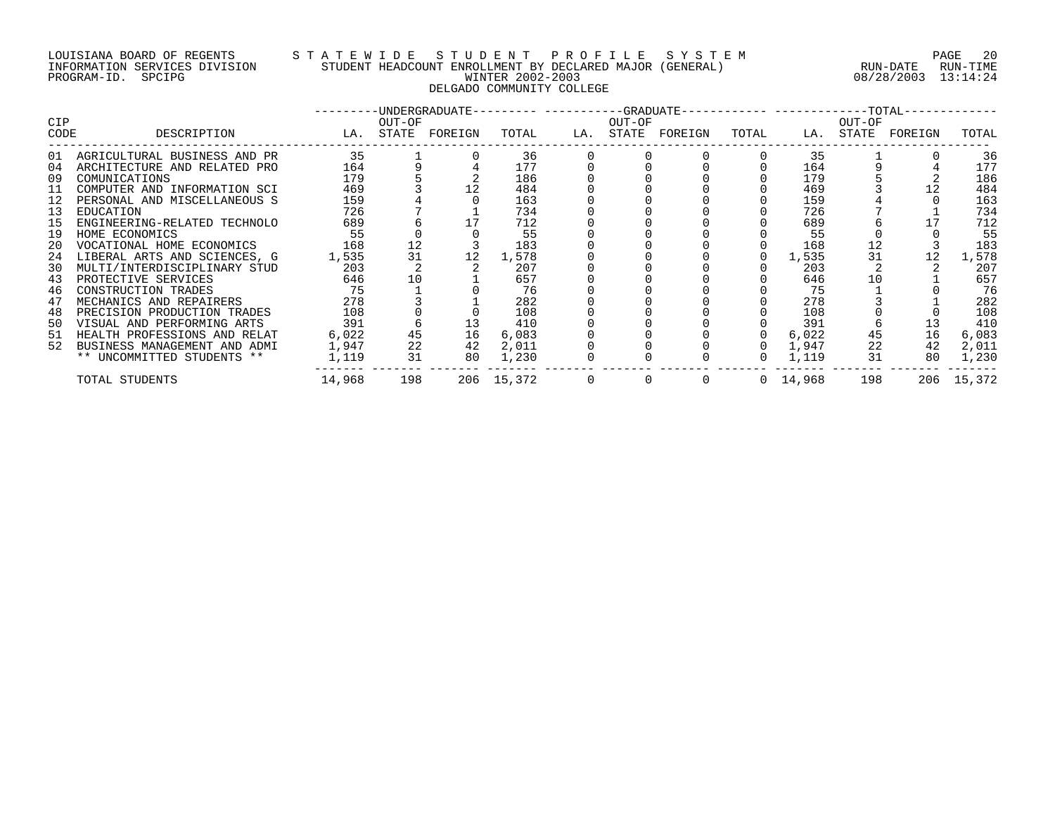#### LOUISIANA BOARD OF REGENTS S T A T E W I D E S T U D E N T P R O F I L E S Y S T E M PAGE 20 INFORMATION SERVICES DIVISION STUDENT HEADCOUNT ENROLLMENT BY DECLARED MAJOR (GENERAL) RUN-DATE RUN-TIME PROGRAM-ID. SPCIPG WINTER 2002-2003 08/28/2003 13:14:24 DELGADO COMMUNITY COLLEGE

|            |                                 |                   |        |    |            |        | ---------UNDERGRADUATE--------- ----------GRADUATE----------- -----------TOTAL------------ |                |                 |        |                         |            |
|------------|---------------------------------|-------------------|--------|----|------------|--------|--------------------------------------------------------------------------------------------|----------------|-----------------|--------|-------------------------|------------|
| <b>CIP</b> |                                 |                   | OUT-OF |    |            | OUT-OF |                                                                                            |                |                 | OUT-OF |                         |            |
| CODE       | DESCRIPTION                     | LA. STATE FOREIGN |        |    | TOTAL      |        | LA. STATE FOREIGN                                                                          |                |                 |        | TOTAL LA. STATE FOREIGN | TOTAL      |
|            | 01 AGRICULTURAL BUSINESS AND PR | 35                |        |    | 36         |        |                                                                                            |                | 35              |        |                         | 36         |
| 04         | ARCHITECTURE AND RELATED PRO    | 164               |        |    | 177        |        |                                                                                            |                | 164             |        |                         | 177        |
| 09         | COMUNICATIONS                   | 179               |        |    | 186        |        |                                                                                            |                | 179             |        |                         | 186        |
| 11         | COMPUTER AND INFORMATION SCI    | 469               |        |    | 484        |        |                                                                                            |                | 469             |        |                         | 484        |
|            | 12 PERSONAL AND MISCELLANEOUS S | 159               |        |    | 163        |        |                                                                                            |                | 159             |        |                         | 163        |
| 13         | EDUCATION                       | 726               |        |    | 734        |        |                                                                                            |                | 726             |        |                         | 734        |
| 15         | ENGINEERING-RELATED TECHNOLO    | 689               |        |    | 712        |        |                                                                                            |                | 689             |        |                         | 712        |
| 19         | HOME ECONOMICS                  | 55                |        |    | -55        |        |                                                                                            |                | 55              |        |                         | 55         |
|            | 20 VOCATIONAL HOME ECONOMICS    | 168               | 12     |    | 183        |        |                                                                                            |                | 168             | 12     |                         | 183        |
|            | 24 LIBERAL ARTS AND SCIENCES, G | 1,535             | 31     | 12 | 1,578      |        |                                                                                            |                | 1,535           | 31     | 12                      | 1,578      |
| 30         | MULTI/INTERDISCIPLINARY STUD    | 203               |        |    | 207        |        |                                                                                            |                | 203             |        |                         | 207        |
| 43         | PROTECTIVE SERVICES             | 646               | 10     |    | 657        |        |                                                                                            |                | 646             | 10     |                         | 657        |
| 46         | CONSTRUCTION TRADES             | 75                |        |    | 76         |        |                                                                                            |                | 75              |        |                         | 76         |
| 47         | MECHANICS AND REPAIRERS         | 278               |        |    | 282        |        |                                                                                            |                | 278             |        |                         | 282        |
| 48         | PRECISION PRODUCTION TRADES     | 108               |        |    | 108        |        |                                                                                            |                | 108             |        |                         | 108        |
| 50         | VISUAL AND PERFORMING ARTS      | 391               |        | 13 | 410        |        |                                                                                            |                | 391             |        |                         | 410        |
|            | 51 HEALTH PROFESSIONS AND RELAT | 6,022             | 45     | 16 | 6,083      |        |                                                                                            |                | 6,022           | 45     | 16                      | 6,083      |
| 52         | BUSINESS MANAGEMENT AND ADMI    | 1,947             | 22     | 42 | 2,011      |        |                                                                                            | $\Omega$       | 1,947           | 22     | 42                      | 2,011      |
|            | ** UNCOMMITTED STUDENTS **      | $1,119$ $31$      |        |    | 80 1,230   |        |                                                                                            | $\overline{0}$ | 1,119           | 31     | 80                      | 1,230      |
|            | TOTAL STUDENTS                  | 14,968            | 198    |    | 206 15,372 |        | $\begin{matrix}0&0&0\end{matrix}$                                                          |                | $0\quad 14,968$ | 198    |                         | 206 15,372 |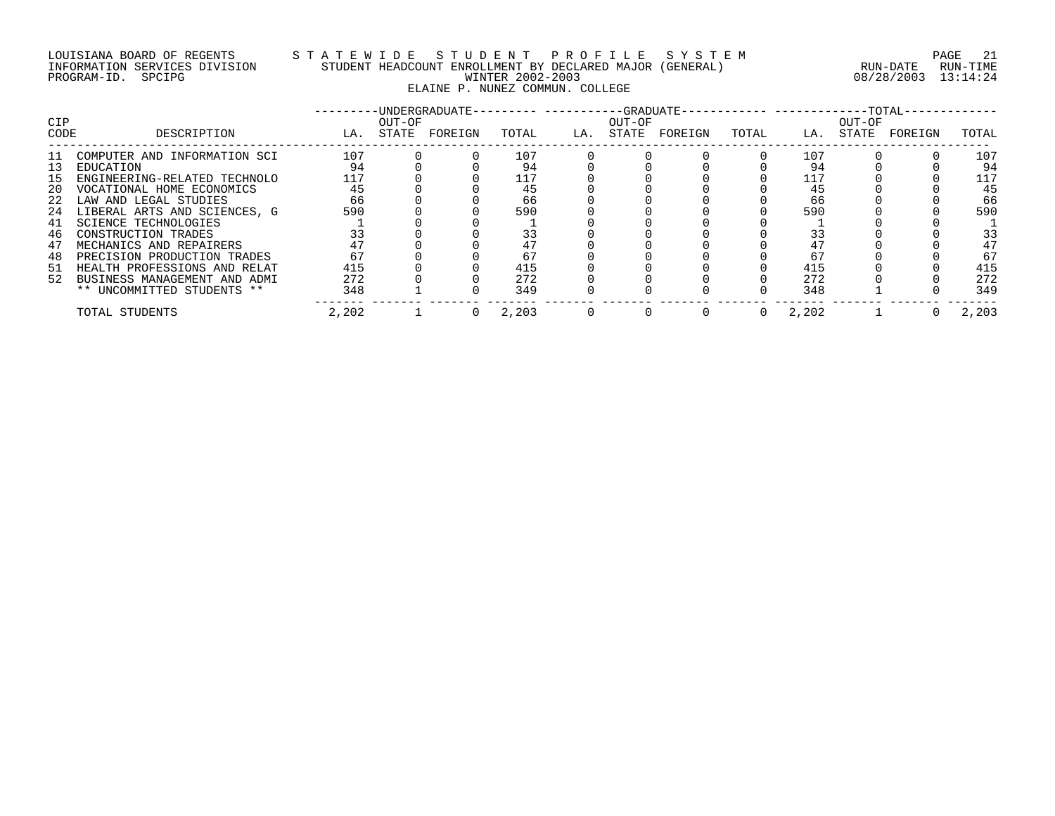# LOUISIANA BOARD OF REGENTS S T A T E W I D E S T U D E N T P R O F I L E S Y S T E M PAGE 21 INFORMATION SERVICES DIVISION STUDENT HEADCOUNT ENROLLMENT BY DECLARED MAJOR (GENERAL) RUN-DATE RUN-TIME PROGRAM-ID. SPCIPG WINTER 2002-2003 08/28/2003 13:14:24 ELAINE P. NUNEZ COMMUN. COLLEGE

| <b>CIP</b> |                                 |       | OUT-OF | -UNDERGRADUATE- |       |     | OUT-OF |         |       |       | OUT-OF |         |       |
|------------|---------------------------------|-------|--------|-----------------|-------|-----|--------|---------|-------|-------|--------|---------|-------|
| CODE       | DESCRIPTION                     | LA.   | STATE  | FOREIGN         | TOTAL | LA. | STATE  | FOREIGN | TOTAL | LA.   | STATE  | FOREIGN | TOTAL |
| -11        | COMPUTER AND INFORMATION SCI    | 107   |        |                 | 107   |     |        |         |       | 107   |        |         | 107   |
| 13         | EDUCATION                       | 94    |        |                 | 94    |     |        |         |       | 94    |        |         | 94    |
| 15         | ENGINEERING-RELATED TECHNOLO    | 117   |        |                 | 117   |     |        |         |       | 117   |        |         | 117   |
| -20        | VOCATIONAL HOME ECONOMICS       | 45    |        |                 | 45    |     |        |         |       | 45    |        |         | 45    |
| 22         | LAW AND LEGAL STUDIES           | 66    |        |                 | 66    |     |        |         |       | 66    |        |         | 66    |
|            | 24 LIBERAL ARTS AND SCIENCES, G | 590   |        |                 | 590   |     |        |         |       | 590   |        |         | 590   |
| 41         | SCIENCE TECHNOLOGIES            |       |        |                 |       |     |        |         |       |       |        |         |       |
| 46         | CONSTRUCTION TRADES             | 33    |        |                 | 33    |     |        |         |       | 33    |        |         | 33    |
| 47         | MECHANICS AND REPAIRERS         | 47    |        |                 | 47    |     |        |         |       | 47    |        |         | 47    |
| 48         | PRECISION PRODUCTION TRADES     | 67    |        |                 | 67    |     |        |         |       | 67    |        |         | 67    |
| 51         | HEALTH PROFESSIONS AND RELAT    | 415   |        |                 | 415   |     |        |         |       | 415   |        |         | 415   |
| 52         | BUSINESS MANAGEMENT AND ADMI    | 272   |        |                 | 272   |     |        |         |       | 272   |        |         | 272   |
|            | ** UNCOMMITTED STUDENTS **      | 348   |        |                 | 349   |     |        |         |       | 348   |        |         | 349   |
|            | TOTAL STUDENTS                  | 2,202 |        |                 | 2,203 |     |        |         | 0     | 2,202 |        |         | 2,203 |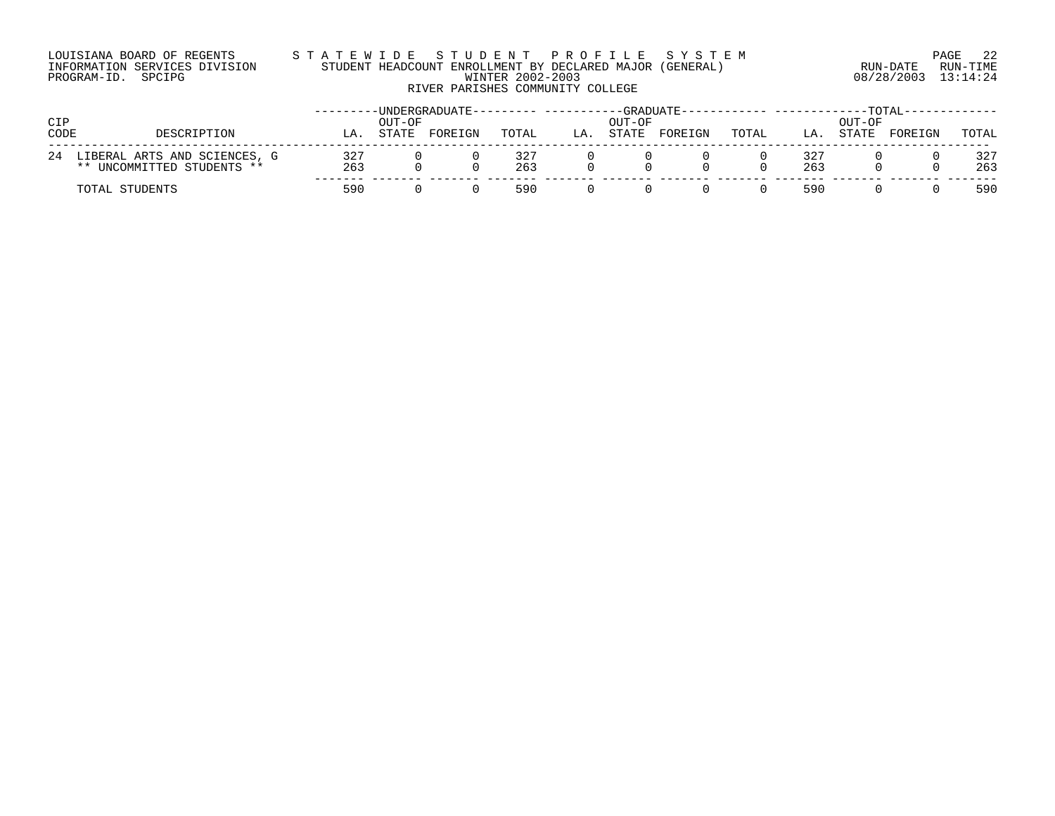#### LOUISIANA BOARD OF REGENTS S T A T E W I D E S T U D E N T P R O F I L E S Y S T E M PAGE 22 INFORMATION SERVICES DIVISION STUDENT HEADCOUNT ENROLLMENT BY DECLARED MAJOR (GENERAL) RUN-DATE RUN-TIME PROGRAM-ID. SPCIPG WINTER 2002-2003 08/28/2003 13:14:24 RIVER PARISHES COMMUNITY COLLEGE

| CIP<br>CODE | DESCRIPTION                                                | LА         | OUT-OF<br><b>STATE</b> | -UNDERGRADUATE--<br>FOREIGN | TOTAL      | LA | OUT-OF<br>STATE | -GRADUATE-<br>FOREIGN | TOTAL | LA.        | OUT-OF<br>STATE | -TOTAL-<br>FOREIGN | TOTAL      |
|-------------|------------------------------------------------------------|------------|------------------------|-----------------------------|------------|----|-----------------|-----------------------|-------|------------|-----------------|--------------------|------------|
| 24          | LIBERAL ARTS AND SCIENCES, G<br>** UNCOMMITTED STUDENTS ** | 327<br>263 |                        |                             | 327<br>263 |    |                 |                       |       | 327<br>263 |                 |                    | 327<br>263 |
|             | TOTAL STUDENTS                                             | 590        |                        |                             | 590        |    |                 |                       |       | 590        |                 |                    | 590        |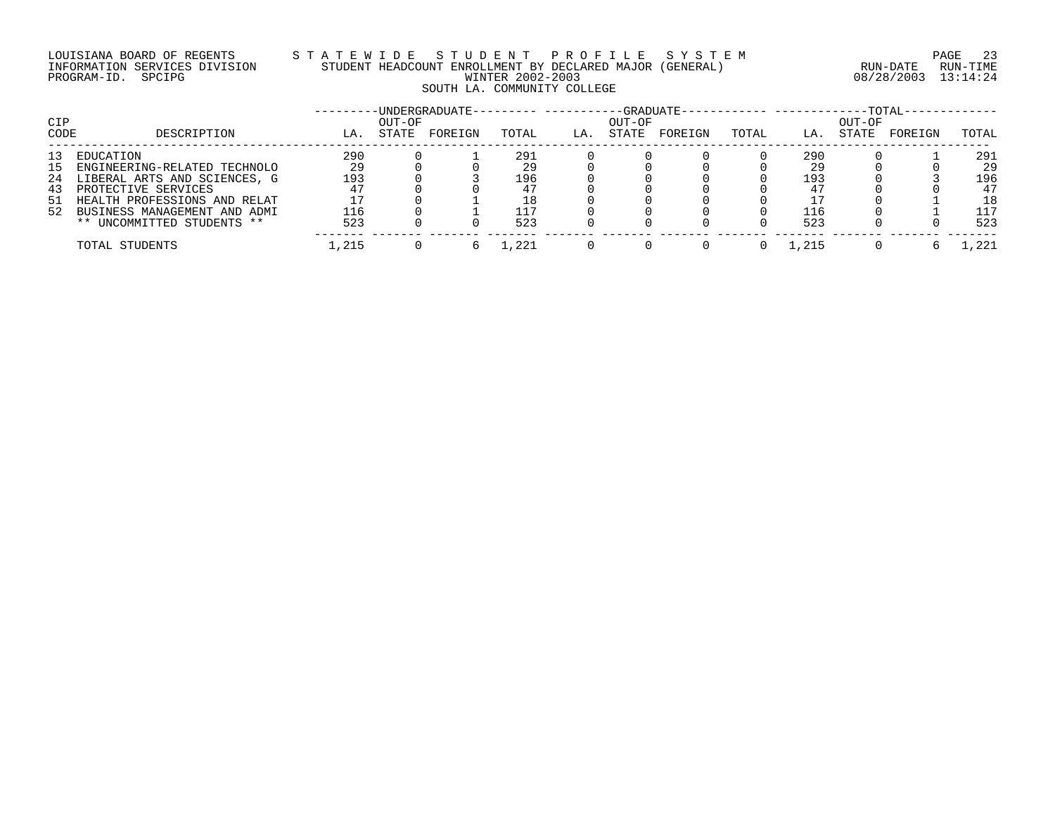# LOUISIANA BOARD OF REGENTS S T A T E W I D E S T U D E N T P R O F I L E S Y S T E M PAGE 23 INFORMATION SERVICES DIVISION STUDENT HEADCOUNT ENROLLMENT BY DECLARED MAJOR (GENERAL) RUN-DATE RUN-TIME PROGRAM-ID. SPCIPG WINTER 2002-2003 08/28/2003 13:14:24 SOUTH LA. COMMUNITY COLLEGE

|      |                              |       |        | -UNDERGRADUATE- | .     |     |        | -GRADUATE------------ --------- |       |         | $-TOTAL$ |         |       |
|------|------------------------------|-------|--------|-----------------|-------|-----|--------|---------------------------------|-------|---------|----------|---------|-------|
| CIP  |                              |       | OUT-OF |                 |       |     | OUT-OF |                                 |       |         | OUT-OF   |         |       |
| CODE | DESCRIPTION                  | LA.   | STATE  | FOREIGN         | TOTAL | LA. | STATE  | FOREIGN                         | TOTAL | LA.     | STATE    | FOREIGN | TOTAL |
| 13   | EDUCATION                    | 290   |        |                 | 291   |     |        |                                 |       | 290     |          |         | 291   |
| 15   | ENGINEERING-RELATED TECHNOLO | 29    |        |                 | 29    |     |        |                                 |       | 29      |          |         | 29    |
| 24   | LIBERAL ARTS AND SCIENCES, G | 193   |        |                 | 196   |     |        |                                 |       | 193     |          |         | 196   |
| 43   | PROTECTIVE SERVICES          |       |        |                 |       |     |        |                                 |       | $4^-$   |          |         | 47    |
| 51   | HEALTH PROFESSIONS AND RELAT |       |        |                 | 18    |     |        |                                 |       |         |          |         | 18    |
| 52   | BUSINESS MANAGEMENT AND ADMI | 116   |        |                 | 117   |     |        |                                 |       | 116     |          |         | 117   |
|      | ** UNCOMMITTED STUDENTS **   | 523   |        |                 | 523   |     |        |                                 |       | 523     |          |         | 523   |
|      | TOTAL STUDENTS               | 1,215 |        |                 |       |     |        |                                 |       | . . 215 |          |         | .221  |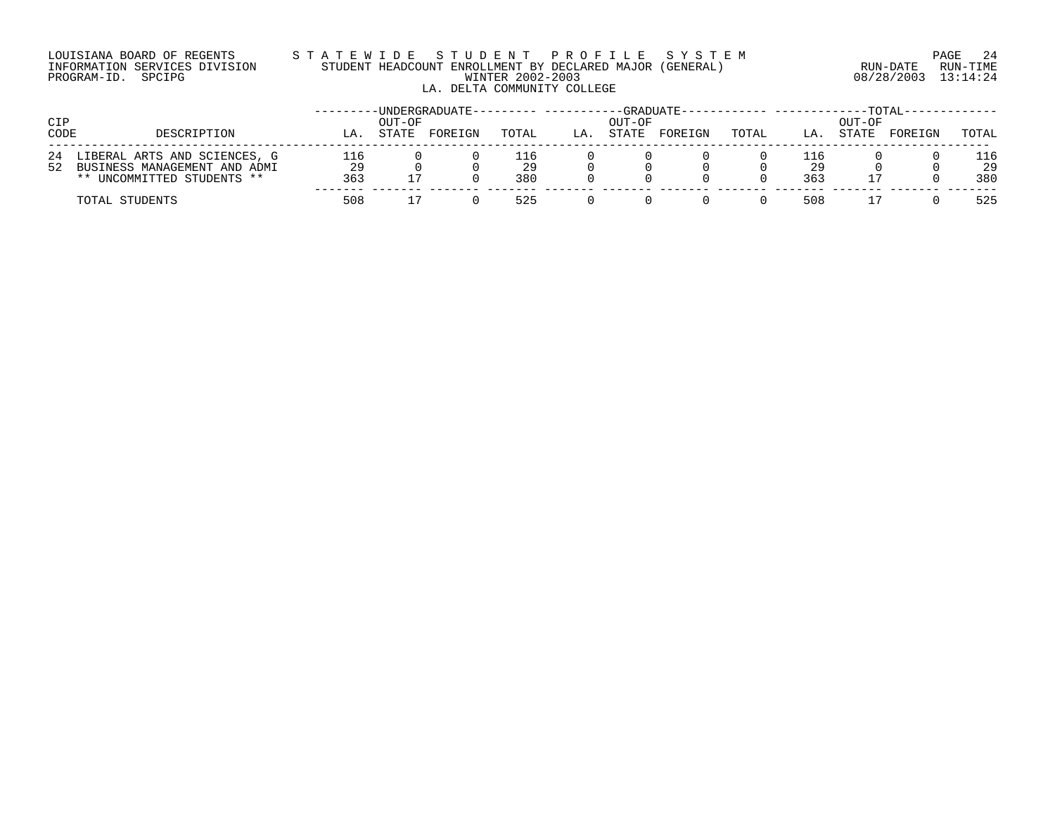### LOUISIANA BOARD OF REGENTS S T A T E W I D E S T U D E N T P R O F I L E S Y S T E M PAGE 24 INFORMATION SERVICES DIVISION STUDENT HEADCOUNT ENROLLMENT BY DECLARED MAJOR (GENERAL) RUN-DATE RUN-TIME PROGRAM-ID. SPCIPG WINTER 2002-2003 08/28/2003 13:14:24 LA. DELTA COMMUNITY COLLEGE

| CIP<br>CODE | DESCRIPTION                                                                                | LA               | OUT-OF<br>STATE | -UNDERGRADUATE-<br>FOREIGN | TOTAL            | LA. | OUT-OF<br>STATE | -GRADUATE-<br>FOREIGN | TOTAL | LA.              | OUT-OF<br>STATE | TOTAL<br>FOREIGN | TOTAL            |
|-------------|--------------------------------------------------------------------------------------------|------------------|-----------------|----------------------------|------------------|-----|-----------------|-----------------------|-------|------------------|-----------------|------------------|------------------|
| 24<br>52    | LIBERAL ARTS AND SCIENCES, G<br>BUSINESS MANAGEMENT AND ADMI<br>** UNCOMMITTED STUDENTS ** | 116<br>29<br>363 |                 |                            | ⊥16<br>29<br>380 |     |                 |                       |       | 116<br>29<br>363 |                 |                  | 116<br>29<br>380 |
|             | TOTAL STUDENTS                                                                             | 508              |                 |                            | 525              |     |                 |                       |       | 508              |                 |                  | 525              |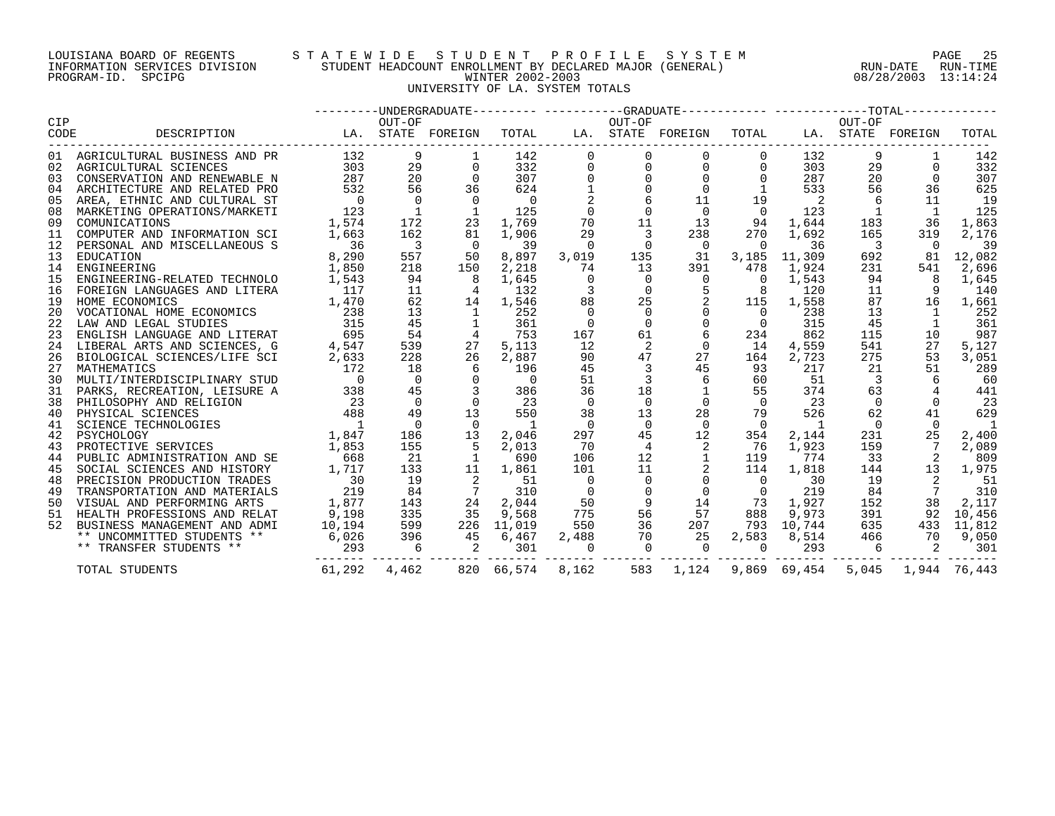#### LOUISIANA BOARD OF REGENTS S T A T E W I D E S T U D E N T P R O F I L E S Y S T E M PAGE 25 INFORMATION SERVICES DIVISION STUDENT HEADCOUNT ENROLLMENT BY DECLARED MAJOR (GENERAL) RUN-DATE RUN-TIME PROGRAM-ID. SPCIPG WINTER 2002-2003 08/28/2003 13:14:24 UNIVERSITY OF LA. SYSTEM TOTALS

| CIP  |                                                                                            |                   |                          |                         |                |                | --------DNDERGRADUATE--------- ----------GRADUATE----------- ------------TOTAL------------ |                   |                |                |                          |                   |            |
|------|--------------------------------------------------------------------------------------------|-------------------|--------------------------|-------------------------|----------------|----------------|--------------------------------------------------------------------------------------------|-------------------|----------------|----------------|--------------------------|-------------------|------------|
|      |                                                                                            |                   | OUT-OF                   |                         |                |                | OUT-OF                                                                                     |                   |                |                | OUT-OF                   |                   |            |
| CODE | DESCRIPTION                                                                                |                   |                          | LA. STATE FOREIGN       | TOTAL          |                |                                                                                            | LA. STATE FOREIGN | TOTAL          |                |                          | LA. STATE FOREIGN | TOTAL      |
|      | 01 AGRICULTURAL BUSINESS AND PR                                                            | 132               | 9                        |                         | 142            | $\mathbf 0$    | 0                                                                                          | 0                 | $\mathbf 0$    | 132            | 9                        |                   | 142        |
|      | 02 AGRICULTURAL SCIENCES                                                                   | 303               | 29                       | $\Omega$                | 332            | $\Omega$       | 0                                                                                          | $\Omega$          | $\overline{0}$ | 303            | 29                       | $\Omega$          | 332        |
| 03   | CONSERVATION AND RENEWABLE N                                                               | 287               | 20                       | $\Omega$                | 307            | $\Omega$       | $\mathbf 0$                                                                                | $\mathbf 0$       | $\mathbf{0}$   | 287            | 20                       | $\Omega$          | 307        |
| 04   | ARCHITECTURE AND RELATED PRO                                                               | 532               | 56                       | 36                      | 624            |                | $\Omega$                                                                                   | $\Omega$          |                | 533            | 56                       | 36                | 625        |
| 05   | AREA, ETHNIC AND CULTURAL ST                                                               | $\overline{0}$    | $\Omega$                 | $\overline{0}$          | $\overline{0}$ |                |                                                                                            | 11                | 19             | $\overline{2}$ | 6                        | 11                | 19         |
| 08   | MARKETING OPERATIONS/MARKETI                                                               | 123               | $\overline{1}$           |                         | 125            | $\Omega$       | $\mathbf 0$                                                                                | $\overline{0}$    | $\overline{0}$ | 123            | $\overline{1}$           | $\mathbf{1}$      | 125        |
| 09   | COMUNICATIONS                                                                              | 1,574             | 172                      | 23                      | 1,769          | 70             | 11                                                                                         | 13                | 94             | 1,644          | 183                      | 36                | 1,863      |
| 11   | COMPUTER AND INFORMATION SCI                                                               | 1,663             | 162                      | 81                      | 1,906          | 29             | 3                                                                                          | 238               | 270            | 1,692          | 165                      | 319               | 2,176      |
| 12   | PERSONAL AND MISCELLANEOUS S                                                               | 36                | $\overline{\phantom{a}}$ | $\Omega$                | 39             | $\Omega$       | $\Omega$                                                                                   | $\overline{0}$    | $\Omega$       | 36             | $\overline{\phantom{a}}$ | $\Omega$          | 39         |
| 13   | EDUCATION                                                                                  | 8,290             | 557                      | 50                      | 8,897          | 3,019          | 135                                                                                        | 31                | 3,185          | 11,309         | 692                      | 81                | 12,082     |
| 14   | ENGINEERING                                                                                | 1,850             | 218                      | 150                     | 2,218          | 74             | 13                                                                                         | 391               | 478            | 1,924          | 231                      | 541               | 2,696      |
| 15   | ENGINEERING-RELATED TECHNOLO                                                               | 1,543             | 94                       | - 8                     | 1,645          | $\Omega$       | $\overline{0}$                                                                             | $\overline{0}$    | $\Omega$       | 1,543          | 94                       | - 8               | 1,645      |
| 16   | FOREIGN LANGUAGES AND LITERA                                                               | 117               | 11                       | 4                       | 132            | 3              | $\Omega$                                                                                   |                   | 8              | 120            | 11                       |                   | 140        |
| 19   | HOME ECONOMICS                                                                             | 1,470             | 62                       | 14                      | 1,546          | 88             | 25                                                                                         | 2                 | 115            | 1,558          | 87                       | 16                | 1,661      |
| 20   |                                                                                            | $\frac{238}{315}$ | 13                       | $\mathbf{1}$            | 252            | $\Omega$       | $\overline{0}$                                                                             | $\mathsf{O}$      | $\overline{0}$ | 238            | 13                       | $\mathbf{1}$      | 252        |
| 22   |                                                                                            |                   | 45                       | 1                       | 361            | $\Omega$       | $\Omega$                                                                                   | $\Omega$          | $\Omega$       | 315            | 45                       | 1                 | 361        |
| 23   | ENGLISH LANGUAGE AND LITERAT                                                               | 695               | 54                       | $\frac{4}{3}$           | 753            | 167            | 61                                                                                         | 6                 | 234            | 862            | 115                      | 10                | 987        |
| 24   | LIBERAL ARTS AND SCIENCES, G                                                               | 4,547             | 539                      | 27                      | 5,113          | 12             | 2                                                                                          | $\Omega$          | 14             | 4,559          | 541                      | 27                | 5,127      |
| 26   | BIOLOGICAL SCIENCES/LIFE SCI                                                               | 2,633             | 228                      | 26                      | 2,887          | 90             | 47                                                                                         | 27                | 164            | 2,723          | 275                      | 53                | 3,051      |
| 27   | MATHEMATICS                                                                                | 172               | 18                       | 6                       | 196            | 45             | $\overline{3}$                                                                             | 45                | 93             | 217            | 21                       | 51                | 289        |
| 30   | MULTI/INTERDISCIPLINARY STUD                                                               | $\overline{0}$    | $\overline{0}$           | $\overline{0}$          | $\overline{0}$ | 51             |                                                                                            | 6                 | 60             | 51             | $\overline{\phantom{a}}$ | 6                 | 60         |
|      | 31 PARKS, RECREATION, LEISURE A                                                            | 338               | 45                       |                         | 386            | 36             | 18                                                                                         |                   | 55             | 374            | 63                       |                   | 441        |
| 38   | PHILOSOPHY AND RELIGION                                                                    | 23                | $\overline{0}$           | $\Omega$                | 23             | $\Omega$       | $\Omega$                                                                                   | $\Omega$          | $\Omega$       | 23             | $\Omega$                 | $\Omega$          | 23         |
| 40   | PHYSICAL SCIENCES                                                                          | 488               | 49                       | 13                      | 550            | 38             | 13                                                                                         | 28                | 79             | 526            | 62                       | 41                | 629        |
| 41   | SCIENCE TECHNOLOGIES                                                                       | $\overline{1}$    | $\overline{0}$           | $\overline{0}$          | <sup>1</sup>   | $\overline{0}$ | $\Omega$                                                                                   | $\overline{0}$    | $\overline{0}$ | $\mathbf{1}$   | $\overline{0}$           | $\Omega$          | -1         |
| 42   | PSYCHOLOGY                                                                                 | 1,847             | 186                      | 13                      | 2,046          | 297            | 45                                                                                         | 12                | 354            | 2,144          | 231                      | 25                | 2,400      |
| 43   | PROTECTIVE SERVICES                                                                        | 1,853             | 155                      | -5                      | 2,013          | 70             | $\overline{4}$                                                                             | 2                 | 76             | 1,923          | 159                      | 7                 | 2,089      |
| 44   | PUBLIC ADMINISTRATION AND SE                                                               | 668               | - 21                     | 1                       | 690            | 106            | 12                                                                                         |                   | 119            | 774            | 33                       | -2                | 809        |
| 45   | PUBLIC ADMINISTRATION AND SE<br>SOCIAL SCIENCES AND HISTORY<br>DEFCISION DRODUCTION TRADES | 1,717             | 133                      | 11                      | 1,861          | 101            | 11                                                                                         | 2                 | 114            | 1,818          | 144                      | 13                | 1,975      |
| 48   | PRECISION PRODUCTION TRADES                                                                | $\overline{30}$   | 19                       | 2                       | 51             | $\Omega$       | $\Omega$                                                                                   | $\overline{0}$    | $\Omega$       | 30             | 19                       |                   | 51         |
| 49   | TRANSPORTATION AND MATERIALS                                                               | 219               | 84                       |                         | 310            | $\overline{0}$ | $\Omega$                                                                                   | $\overline{0}$    | $\overline{0}$ | 219            | 84                       |                   | 310        |
| 50   | VISUAL AND PERFORMING ARTS                                                                 | 1,877             | 143                      | 24                      | 2,044          | 50             | 9                                                                                          | 14                | 73             | 1,927          | 152                      | 38                | 2,117      |
|      | 51 HEALTH PROFESSIONS AND RELAT                                                            | 9,198             | 335                      | 35                      | 9,568          | 775            | 56                                                                                         | 57                | 888            | 9,973          | 391                      | 92                | 10,456     |
| 52   | BUSINESS MANAGEMENT AND ADMI                                                               | 10,194            | 599                      |                         | 226 11,019     | 550            | 36                                                                                         | 207               |                | 793 10,744     | 635                      |                   | 433 11,812 |
|      | ** UNCOMMITTED STUDENTS **                                                                 | 6,026             | 396                      | 45                      | 6,467          | 2,488          | 70                                                                                         | 25                | 2,583          | 8,514          | 466                      | 70                | 9,050      |
|      | ** TRANSFER STUDENTS **                                                                    | 293               | 6                        | $\overline{\mathbf{c}}$ | 301            | $\overline{0}$ | $\Omega$                                                                                   | $\overline{0}$    | $\Omega$       | 293            | -6                       | 2                 | 301        |
|      | TOTAL STUDENTS                                                                             | 61,292            | 4,462                    |                         | 820 66,574     | 8,162          | 583                                                                                        | 1,124             |                | 9,869 69,454   | 5,045                    | 1,944 76,443      |            |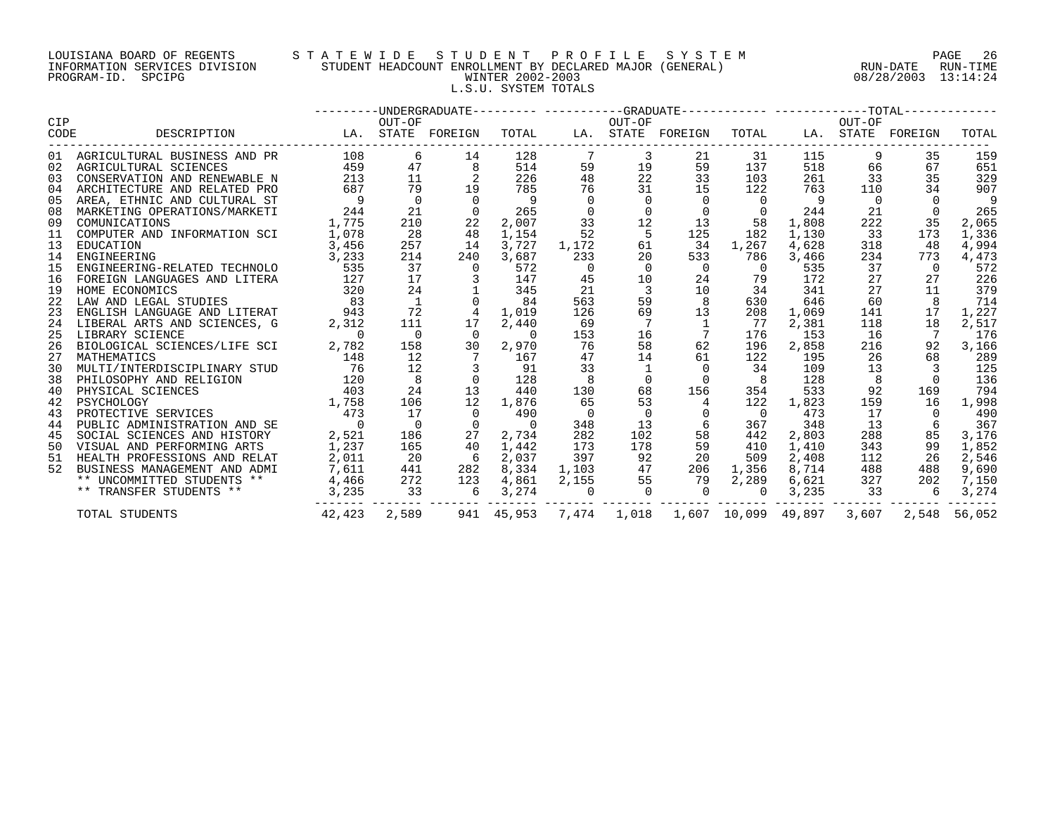#### LOUISIANA BOARD OF REGENTS S T A T E W I D E S T U D E N T P R O F I L E S Y S T E M PAGE 26 INFORMATION SERVICES DIVISION STUDENT HEADCOUNT ENROLLMENT BY DECLARED MAJOR (GENERAL) RUN-DATE RUN-TIME PROGRAM-ID. SPCIPG WINTER 2002-2003 08/28/2003 13:14:24 L.S.U. SYSTEM TOTALS

|             |                                                          |                   |                                                |                 |                |                | ---------UNDERGRADUATE--------- ----------GRADUATE----------- -------------TOTAL------------ |                                                  |                |       |                |                   |              |
|-------------|----------------------------------------------------------|-------------------|------------------------------------------------|-----------------|----------------|----------------|----------------------------------------------------------------------------------------------|--------------------------------------------------|----------------|-------|----------------|-------------------|--------------|
| CIP<br>CODE | DESCRIPTION                                              | LA. STATE FOREIGN | OUT-OF                                         |                 | TOTAL          |                | OUT-OF                                                                                       | LA. STATE FOREIGN                                | TOTAL          |       | OUT-OF         | LA. STATE FOREIGN | TOTAL        |
|             |                                                          | 108               | 6                                              | 14              | 128            | 7              | 3                                                                                            |                                                  |                | 115   | 9              | 35                |              |
| 02          | 01 AGRICULTURAL BUSINESS AND PR<br>AGRICULTURAL SCIENCES | 459               | 47                                             | 8               | 514            | 59             | 19                                                                                           | 21<br>59                                         | 31<br>137      | 518   | 66             | 67                | 159<br>651   |
| 03          | CONSERVATION AND RENEWABLE N                             | 213               | 11                                             |                 | 226            | 48             | 22                                                                                           | 33                                               | 103            | 261   | 33             | 35                | 329          |
| 04          |                                                          | 687               | 79                                             | 19              | 785            | 76             | 31                                                                                           | 15                                               | 122            | 763   | 110            | 34                | 907          |
|             | ARCHITECTURE AND RELATED PRO                             | $\overline{9}$    | $\Omega$                                       | $\Omega$        | $\overline{9}$ | $\Omega$       | $\Omega$                                                                                     | $\overline{0}$                                   | $\Omega$       | 9     | $\overline{0}$ | $\Omega$          | 9            |
| 05          | AREA, ETHNIC AND CULTURAL ST                             | 244               |                                                | $\Omega$        | 265            | $\overline{0}$ | $\Omega$                                                                                     | $\overline{0}$                                   |                | 244   | 21             |                   | 265          |
| 08<br>09    | MARKETING OPERATIONS/MARKETI                             |                   | 21<br>210                                      |                 |                | 33             | 12                                                                                           | 13                                               | $\Omega$<br>58 |       |                | $\Omega$<br>35    |              |
|             | COMUNICATIONS                                            | 1,775             |                                                | 22              | 2,007          |                |                                                                                              |                                                  |                | 1,808 | 222            |                   | 2,065        |
| 11          | COMPUTER AND INFORMATION SCI                             | 1,078             | 28                                             | 48              | 1,154          | 52             | 5                                                                                            | 125                                              | 182            | 1,130 | 33             | 173               | 1,336        |
| 13          | EDUCATION                                                | 3,456             | 257                                            | 14              | 3,727          | 1,172          | 61                                                                                           | 34                                               | 1,267          | 4,628 | 318            | 48                | 4,994        |
| 14          | ENGINEERING                                              | 3,233             | 214                                            | 240             | 3,687          | 233            | 20                                                                                           | 533                                              | 786            | 3,466 | 234            | 773               | 4,473        |
| 15          | ENGINEERING-RELATED TECHNOLO                             | 535               | 37                                             | $\Omega$        | 572            | $\overline{0}$ | $\Omega$<br>10                                                                               | $\overline{0}$                                   | $\overline{0}$ | 535   | 37<br>27       | $\Omega$          | 572          |
| 16          | FOREIGN LANGUAGES AND LITERA                             | 127               | 17                                             |                 | 147            | 45             |                                                                                              | 24                                               | 79             | 172   |                | 27                | 226          |
| 19          | HOME ECONOMICS                                           | 320               | 24                                             |                 | 345            | 21             | $\overline{3}$                                                                               | 10                                               | 34             | 341   | 27             | 11                | 379          |
| 22          | LAW AND LEGAL STUDIES                                    | 83                | $\mathbf{1}$                                   |                 | 84             | 563            | 59                                                                                           | 8                                                | 630            | 646   | 60             |                   | 714          |
| 23          | ENGLISH LANGUAGE AND LITERAT 943                         |                   | 72                                             | $\overline{4}$  | 1,019          | 126            | 69                                                                                           | 13                                               | 208            | 1,069 | 141            | 17                | 1,227        |
| 24          | LIBERAL ARTS AND SCIENCES, G                             | 2,312             | 111                                            | 17              | 2,440          | 69             | $7\overline{ }$                                                                              | $\overline{1}$                                   | 77             | 2,381 | 118            | 18                | 2,517        |
| 25          | LIBRARY SCIENCE                                          | $\overline{0}$    | $\overline{0}$                                 | $\overline{0}$  | $\overline{0}$ | 153            | 16                                                                                           | $\overline{7}$                                   | 176            | 153   | 16             |                   | 176          |
| 26          | BIOLOGICAL SCIENCES/LIFE SCI                             | 2,782             | 158                                            | 30              | 2,970          | 76             | 58                                                                                           | 62                                               | 196            | 2,858 | 216            | 92                | 3,166        |
| 27          | MATHEMATICS                                              | 148               | 12                                             | $7\overline{ }$ | 167            | 47             | 14                                                                                           | 61                                               | 122            | 195   | 26             | 68                | 289          |
| 30          | MULTI/INTERDISCIPLINARY STUD 76                          |                   | 12                                             |                 | 91             | 33             |                                                                                              |                                                  | 34             | 109   | 13             |                   | 125          |
| 38          | PHILOSOPHY AND RELIGION                                  | 120               | 8                                              |                 | 128            |                | $\Omega$                                                                                     |                                                  |                | 128   | 8              |                   | 136          |
| 40          | PHYSICAL SCIENCES                                        | 403               | 24                                             | 13              | 440            | 130            | 68                                                                                           | 156                                              | 354            | 533   | 92             | 169               | 794          |
| 42          | 1,758<br>PSYCHOLOGY                                      |                   | 106                                            | 12              | 1,876          | 65             | 53                                                                                           |                                                  | 122            | 1,823 | 159            | 16                | 1,998        |
| 43          | PROTECTIVE SERVICES                                      | 473               | 17                                             |                 | 490            | $\overline{0}$ | $\overline{0}$                                                                               |                                                  | $\overline{0}$ | 473   | 17             |                   | 490          |
| 44          | PUBLIC ADMINISTRATION AND SE                             | $\overline{0}$    | $\overline{0}$                                 | $\overline{0}$  | $\overline{0}$ | 348            | 13                                                                                           | 6                                                | 367            | 348   | 13             |                   | 367          |
| 45          | SOCIAL SCIENCES AND HISTORY                              | 2,521             | 186                                            | 27              | 2,734          | 282            | 102                                                                                          | 58                                               | 442            | 2,803 | 288            | 85                | 3,176        |
|             | 50 VISUAL AND PERFORMING ARTS                            | 1,237             | 165                                            | 40              | 1,442          | 173            | 178                                                                                          | 59                                               | 410            | 1,410 | 343            | 99                | 1,852        |
| 51          | HEALTH PROFESSIONS AND RELAT                             | 2,011             | 20                                             | 6               | 2,037          | 397            | 92                                                                                           | 20                                               | 509            | 2,408 | 112            | -26               | 2,546        |
| 52          | BUSINESS MANAGEMENT AND ADMI                             | 7,611             | 441                                            | 282             | 8,334          |                | 1,103 47                                                                                     | 206                                              | 1,356          | 8,714 | 488            | 488               | 9,690        |
|             | ** UNCOMMITTED STUDENTS **                               |                   |                                                | 123             | 4,861          | 2,155          | 55                                                                                           | 79                                               | 2,289          | 6,621 | 327            | 202               | 7,150        |
|             | ** TRANSFER STUDENTS **                                  | 3,235             | $\frac{4}{3}, \frac{466}{235}$ 272<br>3,235 33 | 6               | 3,274          | $\sim$ 0       | $\overline{0}$                                                                               | $\overline{0}$                                   | $\overline{0}$ |       | 3,235 33       | - 6               | 3,274        |
|             | TOTAL STUDENTS                                           |                   | 42,423 2,589                                   |                 |                |                |                                                                                              | 941 45,953 7,474 1,018 1,607 10,099 49,897 3,607 |                |       |                |                   | 2,548 56,052 |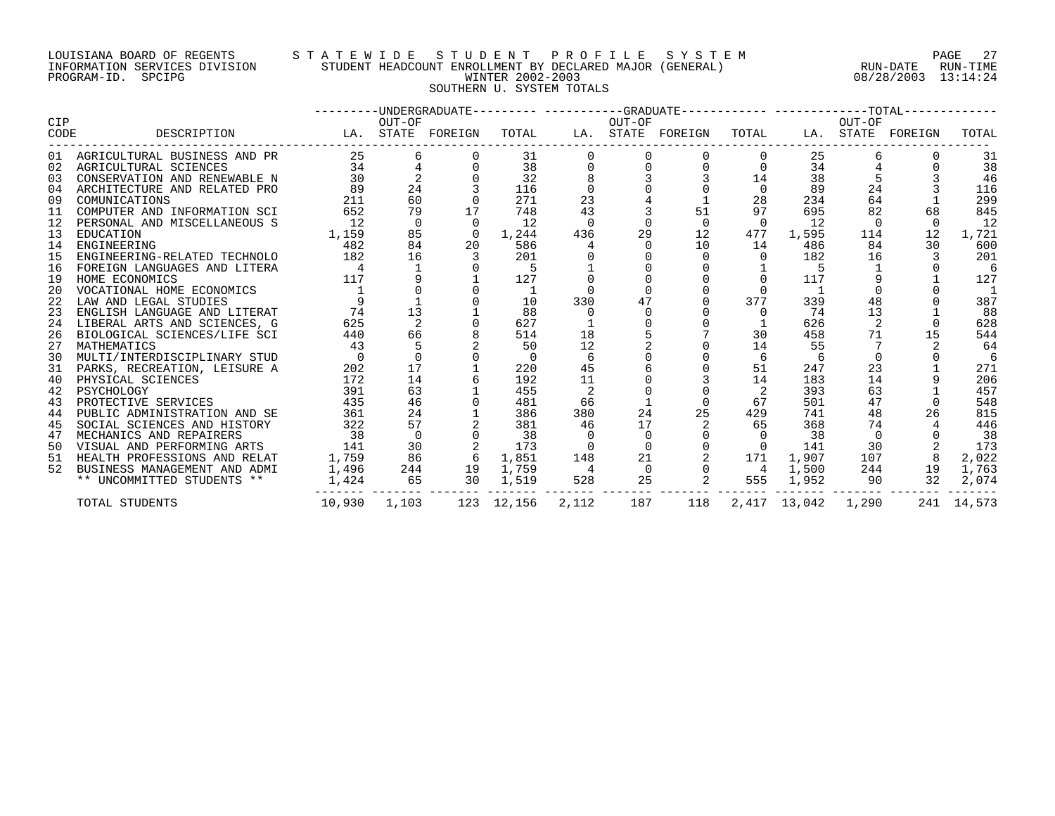#### LOUISIANA BOARD OF REGENTS S T A T E W I D E S T U D E N T P R O F I L E S Y S T E M PAGE 27 INFORMATION SERVICES DIVISION STUDENT HEADCOUNT ENROLLMENT BY DECLARED MAJOR (GENERAL) RUN-DATE RUN-TIME PROGRAM-ID. SPCIPG WINTER 2002-2003 08/28/2003 13:14:24 SOUTHERN U. SYSTEM TOTALS

|      |                                 |        |             |                   |                |                | ---------UNDERGRADUATE--------- ----------GRADUATE----------- ----------------TOTAL------------ |                   |                |              |          |                   |            |
|------|---------------------------------|--------|-------------|-------------------|----------------|----------------|-------------------------------------------------------------------------------------------------|-------------------|----------------|--------------|----------|-------------------|------------|
| CIP  | DESCRIPTION                     |        | OUT-OF      |                   | TOTAL          |                | OUT-OF                                                                                          | LA. STATE FOREIGN | TOTAL          |              | OUT-OF   | LA. STATE FOREIGN | TOTAL      |
| CODE |                                 |        |             | LA. STATE FOREIGN |                |                |                                                                                                 |                   |                |              |          |                   |            |
|      | 01 AGRICULTURAL BUSINESS AND PR | 25     | 6           |                   | 31             |                |                                                                                                 |                   |                | 25           |          |                   | 31         |
|      | 02 AGRICULTURAL SCIENCES        | 34     |             |                   | 38             |                |                                                                                                 |                   |                | 34           |          |                   | 38         |
| 03   | CONSERVATION AND RENEWABLE N    | 30     |             |                   | 32             |                |                                                                                                 |                   |                | 38           |          |                   | 46         |
| 04   | ARCHITECTURE AND RELATED PRO    | 89     | 24          |                   | 116            |                |                                                                                                 |                   |                | 89           | 24       |                   | 116        |
| 09   | COMUNICATIONS                   | 211    | 60          |                   | 271            | 23             |                                                                                                 |                   | 28             | 234          | 64       |                   | 299        |
| 11   | COMPUTER AND INFORMATION SCI    | 652    | 79          | 17                | 748            | 43             |                                                                                                 | 51                | 97             | 695          | 82       | 68                | 845        |
| 12   | PERSONAL AND MISCELLANEOUS S    | 12     | $\mathbf 0$ | $\Omega$          | 12             | $\Omega$       |                                                                                                 | $\Omega$          | $\Omega$       | 12           | $\Omega$ |                   | 12         |
| 13   | EDUCATION                       | 1,159  | 85          | $\overline{0}$    | 1,244          | 436            | 29                                                                                              | 12                | 477            | 1,595        | 114      | 12                | 1,721      |
| 14   | ENGINEERING                     | 482    | 84          | 20                | 586            |                |                                                                                                 | 10                | 14             | 486          | 84       | 30                | 600        |
| 15   | ENGINEERING-RELATED TECHNOLO    | 182    | 16          |                   | 201            |                |                                                                                                 |                   |                | 182          | 16       |                   | 201        |
| 16   | FOREIGN LANGUAGES AND LITERA    |        |             |                   |                |                |                                                                                                 |                   |                |              |          |                   | -6         |
| 19   | HOME ECONOMICS                  | 117    | 9           |                   | 127            |                |                                                                                                 |                   |                | 117          |          |                   | 127        |
| 20   | VOCATIONAL HOME ECONOMICS       |        |             |                   | -1             |                |                                                                                                 |                   |                |              |          |                   | -1         |
| 22   | LAW AND LEGAL STUDIES           |        |             |                   | 10             | 330            | 47                                                                                              |                   | 377            | 339          | 48       |                   | 387        |
| 23   | ENGLISH LANGUAGE AND LITERAT    | 74     | 13          |                   | 88             |                |                                                                                                 |                   | $\Omega$       | 74           | 13       |                   | 88         |
| 24   | LIBERAL ARTS AND SCIENCES, G    | 625    |             |                   | 627            |                |                                                                                                 |                   |                | 626          |          |                   | 628        |
| 26   | BIOLOGICAL SCIENCES/LIFE SCI    | 440    | 66          |                   | 514            | 18             |                                                                                                 |                   | 30             | 458          | 71       | 15                | 544        |
| 27   | MATHEMATICS                     | 43     |             |                   | 50             | 12             |                                                                                                 |                   | 14             | 55           |          |                   | 64         |
| 30   | MULTI/INTERDISCIPLINARY STUD    |        |             |                   | $\overline{0}$ | 6              |                                                                                                 |                   | 6              | 6            | $\Omega$ |                   | -6         |
| 31   | PARKS, RECREATION, LEISURE A    | 202    | 17          |                   | 220            | 45             |                                                                                                 |                   | 51             | 247          | 23       |                   | 271        |
| 40   | PHYSICAL SCIENCES               | 172    | 14          |                   | 192            | 11             |                                                                                                 |                   | 14             | 183          | 14       |                   | 206        |
| 42   | PSYCHOLOGY                      | 391    | 63          |                   | 455            | 2              |                                                                                                 |                   | 2              | 393          | 63       |                   | 457        |
| 43   | PROTECTIVE SERVICES             | 435    | 46          |                   | 481            | 66             |                                                                                                 |                   | 67             | 501          | 47       | $\cap$            | 548        |
| 44   | PUBLIC ADMINISTRATION AND SE    | 361    | 24          |                   | 386            | 380            | 24                                                                                              | 25                | 429            | 741          | 48       | 26                | 815        |
| 45   | SOCIAL SCIENCES AND HISTORY     | 322    | 57          |                   | 381            | 46             | 17                                                                                              |                   | 65             | 368          | 74       |                   | 446        |
| 47   | MECHANICS AND REPAIRERS         | 38     | $\Omega$    |                   | 38             |                |                                                                                                 |                   |                | 38           | $\Omega$ |                   | 38         |
| 50   | VISUAL AND PERFORMING ARTS      | 141    | 30          |                   | 173            |                |                                                                                                 |                   |                | 141          | 30       |                   | 173        |
| 51   | HEALTH PROFESSIONS AND RELAT    | 1,759  | 86          | 6                 | 1,851          | 148            | 21                                                                                              |                   | 171            | 1,907        | 107      |                   | 2,022      |
| 52   | BUSINESS MANAGEMENT AND ADMI    | 1,496  | 244         | 19                | 1,759          | $\overline{4}$ | $\overline{0}$                                                                                  |                   | $\overline{4}$ | 1,500        | 244      | 19                | 1,763      |
|      | ** UNCOMMITTED STUDENTS **      | 1,424  | 65          | 30                | 1,519          | 528            | 25                                                                                              | 2                 | 555            | 1,952        | 90       | 32                | 2,074      |
|      | TOTAL STUDENTS                  | 10,930 | 1,103       |                   | 123 12,156     | 2,112          | 187                                                                                             | 118               |                | 2,417 13,042 | 1,290    |                   | 241 14,573 |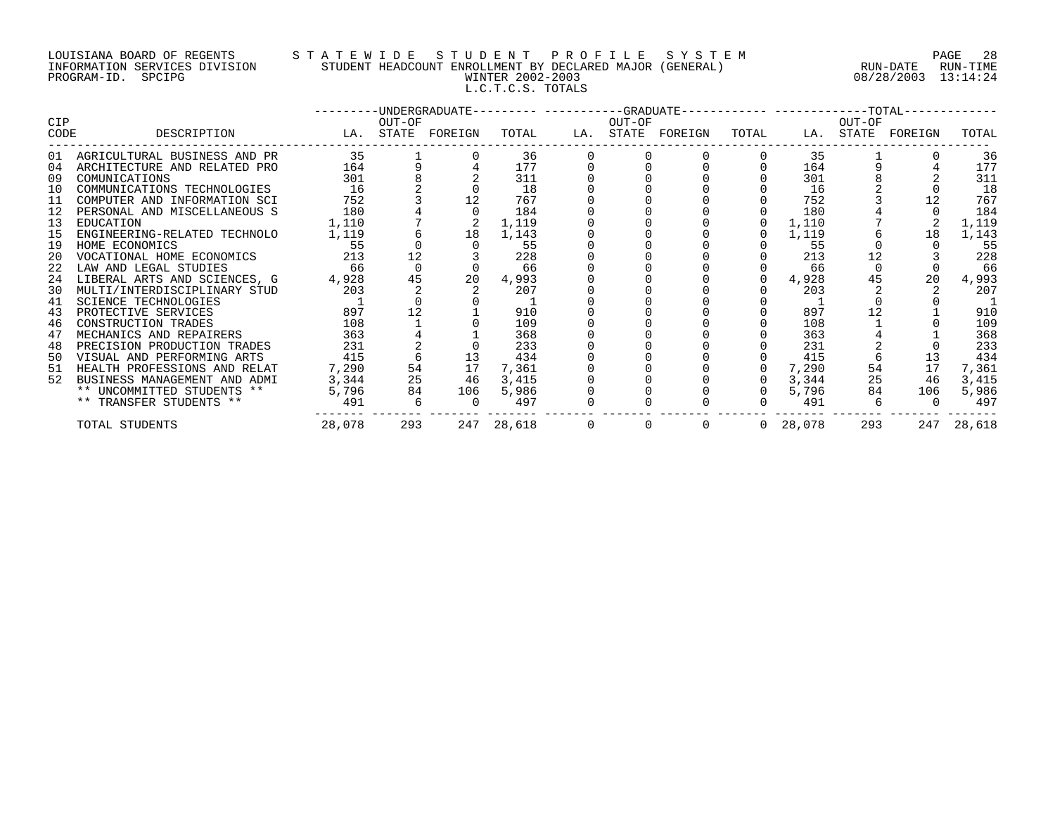# LOUISIANA BOARD OF REGENTS S T A T E W I D E S T U D E N T P R O F I L E S Y S T E M PAGE 28 INFORMATION SERVICES DIVISION STUDENT HEADCOUNT ENROLLMENT BY DECLARED MAJOR (GENERAL) RUN-DATE RUN-TIME PROGRAM-ID. SPCIPG WINTER 2002-2003 08/28/2003 13:14:24 L.C.T.C.S. TOTALS

|                    |                                 |                   |                                                               |                |            |                                 | ---------UNDERGRADUATE---------- ----------GRADUATE------------ -------------TOTAL------------ |          |                       |        |                   |            |
|--------------------|---------------------------------|-------------------|---------------------------------------------------------------|----------------|------------|---------------------------------|------------------------------------------------------------------------------------------------|----------|-----------------------|--------|-------------------|------------|
| <b>CIP</b><br>CODE | DESCRIPTION                     | LA. STATE FOREIGN | OUT-OF                                                        |                | TOTAL      | OUT-OF                          | LA. STATE FOREIGN                                                                              | TOTAL    |                       | OUT-OF | LA. STATE FOREIGN | TOTAL      |
|                    | 01 AGRICULTURAL BUSINESS AND PR | 35                |                                                               |                | 36         |                                 |                                                                                                |          | 35                    |        |                   | 36         |
| 04                 | ARCHITECTURE AND RELATED PRO    | 164               |                                                               |                | 177        |                                 |                                                                                                |          | 164                   |        |                   | 177        |
| 09                 | COMUNICATIONS                   | 301               |                                                               |                | 311        |                                 |                                                                                                |          | 301                   |        |                   | 311        |
| 10                 | COMMUNICATIONS TECHNOLOGIES     | 16                |                                                               |                | 18         |                                 |                                                                                                |          | 16                    |        |                   | 18         |
|                    | 11 COMPUTER AND INFORMATION SCI | 752               |                                                               | 12             | 767        |                                 |                                                                                                |          | 752                   |        |                   | 767        |
|                    | 12 PERSONAL AND MISCELLANEOUS S | 180               |                                                               |                | 184        |                                 |                                                                                                |          | 180                   |        |                   | 184        |
| 13                 | EDUCATION                       | 1,110             |                                                               |                | 1,119      |                                 |                                                                                                |          | 1,110                 |        |                   | 1,119      |
| 15                 | ENGINEERING-RELATED TECHNOLO    | 1,119             |                                                               | 18             | 1,143      |                                 |                                                                                                | $\Omega$ | 1,119                 |        | 18                | 1,143      |
| 19                 | HOME ECONOMICS                  | 55                |                                                               |                | 55         |                                 |                                                                                                |          | 55                    |        |                   | 55         |
| 20                 | VOCATIONAL HOME ECONOMICS 213   |                   | 12                                                            |                | 228        |                                 |                                                                                                |          | 213                   |        |                   | 228        |
| 22                 | LAW AND LEGAL STUDIES           | 66                | $\Omega$                                                      |                | 66         |                                 |                                                                                                |          | 66                    |        |                   | 66         |
| 24                 | LIBERAL ARTS AND SCIENCES, G    | 4,928             | 45                                                            | 20             | 4,993      |                                 |                                                                                                |          | 4,928                 |        | 20                | 4,993      |
| 30                 | MULTI/INTERDISCIPLINARY STUD    | 203               |                                                               |                | 207        |                                 |                                                                                                |          | 203                   |        |                   | 207        |
| 41                 | SCIENCE TECHNOLOGIES            |                   |                                                               |                |            |                                 |                                                                                                |          |                       |        |                   |            |
| 43                 | PROTECTIVE SERVICES             | 897               | 12                                                            |                | 910        |                                 |                                                                                                |          | 897                   |        |                   | 910        |
| 46                 | CONSTRUCTION TRADES             | 108               |                                                               |                | 109        |                                 |                                                                                                |          | 108                   |        |                   | 109        |
| 47                 | MECHANICS AND REPAIRERS         | 363               |                                                               |                | 368        |                                 |                                                                                                |          | 363                   |        |                   | 368        |
| 48                 | PRECISION PRODUCTION TRADES     | 231               |                                                               |                | 233        |                                 |                                                                                                |          | 231                   |        |                   | 233        |
| 50                 | VISUAL AND PERFORMING ARTS      | 415               | 6                                                             | 13             | 434        |                                 |                                                                                                |          | 415                   |        | 13                | 434        |
| 51                 | HEALTH PROFESSIONS AND RELAT    | 7,290             | 54                                                            | 17             | 7,361      |                                 |                                                                                                |          | $0 \quad 7,290$       | 54     | 17                | 7,361      |
| 52                 | BUSINESS MANAGEMENT AND ADMI    |                   | $\begin{array}{ccc} 3,344 & & 25 \\ 5,796 & & 84 \end{array}$ | 46             | 3,415      |                                 |                                                                                                |          | $0 \quad 3,344$       | 25     | 46                | 3,415      |
|                    | ** UNCOMMITTED STUDENTS **      |                   |                                                               | 106            | 5,986      |                                 |                                                                                                |          | 0 5,796               | 84     | 106               | 5,986      |
|                    | ** TRANSFER STUDENTS **         | 491 6             |                                                               | $\overline{0}$ | 497        |                                 |                                                                                                |          | $\overline{0}$<br>491 | 6      |                   | 497        |
|                    | TOTAL STUDENTS                  | 28,078            | 293                                                           |                | 247 28,618 | $\begin{matrix}0&0\end{matrix}$ | $\overline{0}$                                                                                 |          | 0 28,078              | 293    |                   | 247 28,618 |